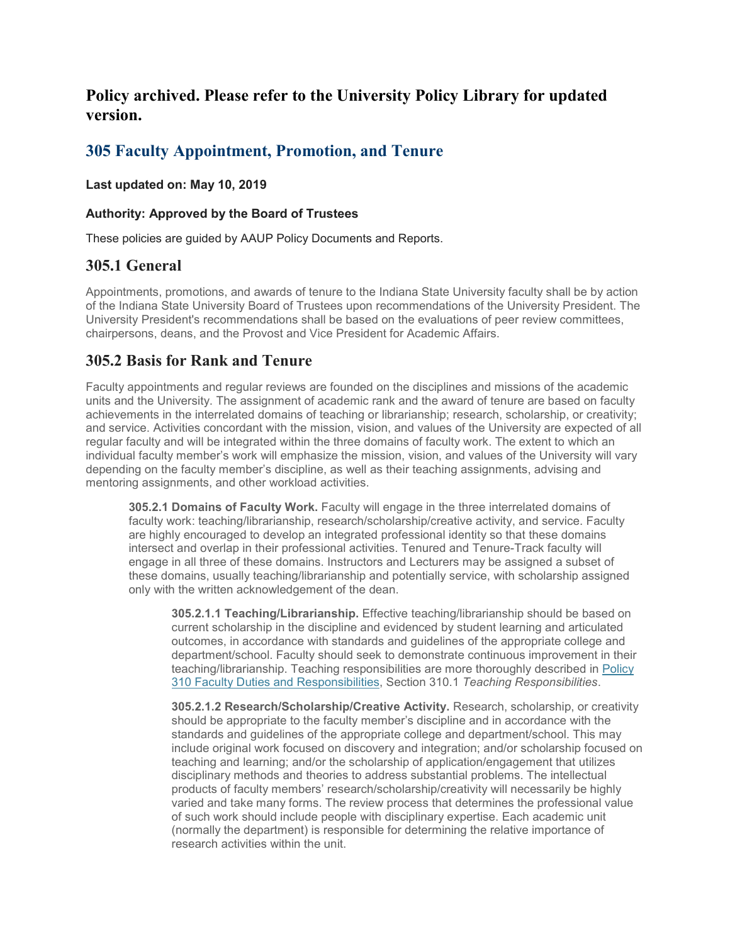# **Policy archived. Please refer to the University Policy Library for updated version.**

# **305 Faculty Appointment, Promotion, and Tenure**

### **Last updated on: May 10, 2019**

### **Authority: Approved by the Board of Trustees**

These policies are guided by AAUP Policy Documents and Reports.

# **305.1 General**

Appointments, promotions, and awards of tenure to the Indiana State University faculty shall be by action of the Indiana State University Board of Trustees upon recommendations of the University President. The University President's recommendations shall be based on the evaluations of peer review committees, chairpersons, deans, and the Provost and Vice President for Academic Affairs.

# **305.2 Basis for Rank and Tenure**

Faculty appointments and regular reviews are founded on the disciplines and missions of the academic units and the University. The assignment of academic rank and the award of tenure are based on faculty achievements in the interrelated domains of teaching or librarianship; research, scholarship, or creativity; and service. Activities concordant with the mission, vision, and values of the University are expected of all regular faculty and will be integrated within the three domains of faculty work. The extent to which an individual faculty member's work will emphasize the mission, vision, and values of the University will vary depending on the faculty member's discipline, as well as their teaching assignments, advising and mentoring assignments, and other workload activities.

**305.2.1 Domains of Faculty Work.** Faculty will engage in the three interrelated domains of faculty work: teaching/librarianship, research/scholarship/creative activity, and service. Faculty are highly encouraged to develop an integrated professional identity so that these domains intersect and overlap in their professional activities. Tenured and Tenure-Track faculty will engage in all three of these domains. Instructors and Lecturers may be assigned a subset of these domains, usually teaching/librarianship and potentially service, with scholarship assigned only with the written acknowledgement of the dean.

**305.2.1.1 Teaching/Librarianship.** Effective teaching/librarianship should be based on current scholarship in the discipline and evidenced by student learning and articulated outcomes, in accordance with standards and guidelines of the appropriate college and department/school. Faculty should seek to demonstrate continuous improvement in their teaching/librarianship. Teaching responsibilities are more thoroughly described in [Policy](http://www.indstate.edu/policy-library/faculty-duties-and-responsibilities)  [310 Faculty Duties and Responsibilities,](http://www.indstate.edu/policy-library/faculty-duties-and-responsibilities) Section 310.1 *Teaching Responsibilities*.

**305.2.1.2 Research/Scholarship/Creative Activity.** Research, scholarship, or creativity should be appropriate to the faculty member's discipline and in accordance with the standards and guidelines of the appropriate college and department/school. This may include original work focused on discovery and integration; and/or scholarship focused on teaching and learning; and/or the scholarship of application/engagement that utilizes disciplinary methods and theories to address substantial problems. The intellectual products of faculty members' research/scholarship/creativity will necessarily be highly varied and take many forms. The review process that determines the professional value of such work should include people with disciplinary expertise. Each academic unit (normally the department) is responsible for determining the relative importance of research activities within the unit.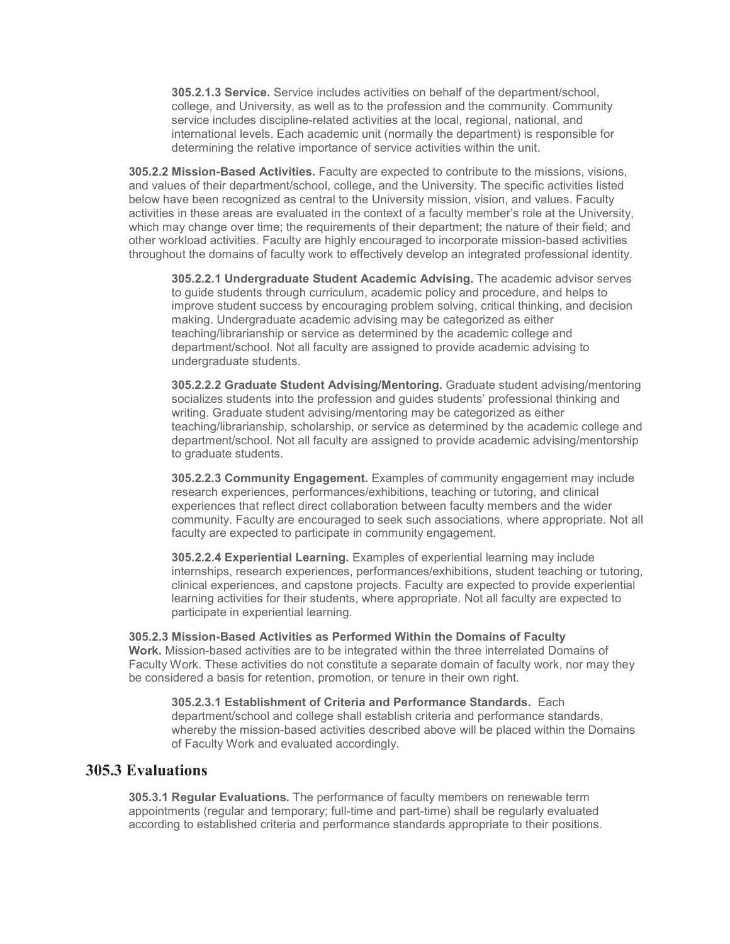**305.2.1.3 Service.** Service includes activities on behalf of the department/school, college, and University, as well as to the profession and the community. Community service includes discipline-related activities at the local, regional, national, and international levels. Each academic unit (normally the department) is responsible for determining the relative importance of service activities within the unit.

**305.2.2 Mission-Based Activities.** Faculty are expected to contribute to the missions, visions, and values of their department/school, college, and the University. The specific activities listed below have been recognized as central to the University mission, vision, and values. Faculty activities in these areas are evaluated in the context of a faculty member's role at the University, which may change over time; the requirements of their department; the nature of their field; and other workload activities. Faculty are highly encouraged to incorporate mission-based activities throughout the domains of faculty work to effectively develop an integrated professional identity.

**305.2.2.1 Undergraduate Student Academic Advising.** The academic advisor serves to guide students through curriculum, academic policy and procedure, and helps to improve student success by encouraging problem solving, critical thinking, and decision making. Undergraduate academic advising may be categorized as either teaching/librarianship or service as determined by the academic college and department/school. Not all faculty are assigned to provide academic advising to undergraduate students.

**305.2.2.2 Graduate Student Advising/Mentoring.** Graduate student advising/mentoring socializes students into the profession and guides students' professional thinking and writing. Graduate student advising/mentoring may be categorized as either teaching/librarianship, scholarship, or service as determined by the academic college and department/school. Not all faculty are assigned to provide academic advising/mentorship to graduate students.

**305.2.2.3 Community Engagement.** Examples of community engagement may include research experiences, performances/exhibitions, teaching or tutoring, and clinical experiences that reflect direct collaboration between faculty members and the wider community. Faculty are encouraged to seek such associations, where appropriate. Not all faculty are expected to participate in community engagement.

**305.2.2.4 Experiential Learning.** Examples of experiential learning may include internships, research experiences, performances/exhibitions, student teaching or tutoring, clinical experiences, and capstone projects. Faculty are expected to provide experiential learning activities for their students, where appropriate. Not all faculty are expected to participate in experiential learning.

**305.2.3 Mission-Based Activities as Performed Within the Domains of Faculty Work.** Mission-based activities are to be integrated within the three interrelated Domains of Faculty Work. These activities do not constitute a separate domain of faculty work, nor may they be considered a basis for retention, promotion, or tenure in their own right.

**305.2.3.1 Establishment of Criteria and Performance Standards.** Each department/school and college shall establish criteria and performance standards, whereby the mission-based activities described above will be placed within the Domains of Faculty Work and evaluated accordingly.

### **305.3 Evaluations**

**305.3.1 Regular Evaluations.** The performance of faculty members on renewable term appointments (regular and temporary; full-time and part-time) shall be regularly evaluated according to established criteria and performance standards appropriate to their positions.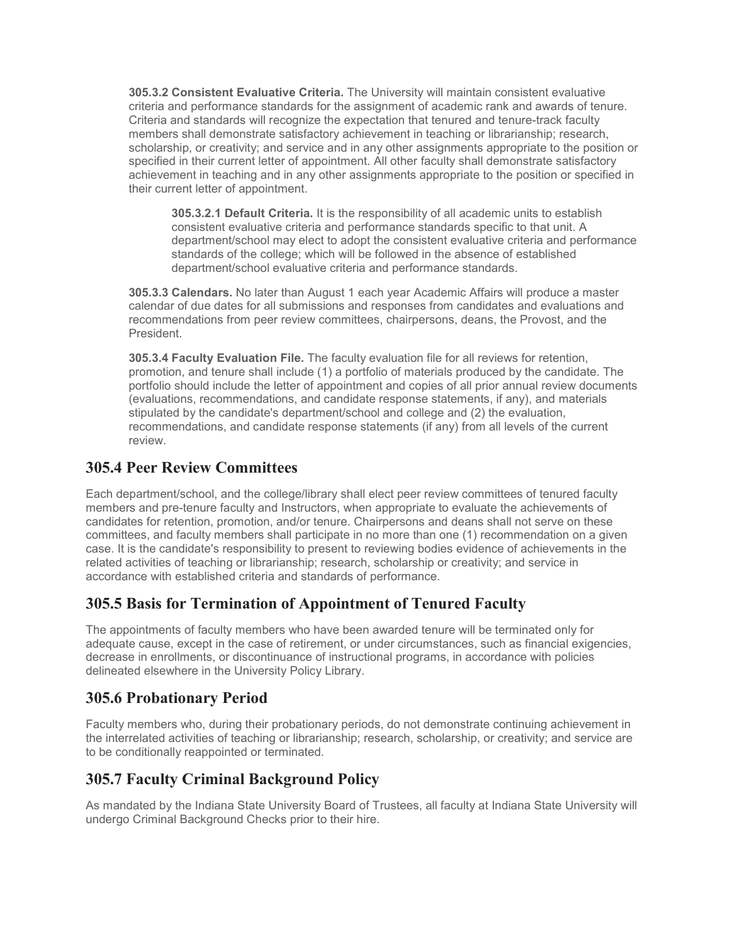**305.3.2 Consistent Evaluative Criteria.** The University will maintain consistent evaluative criteria and performance standards for the assignment of academic rank and awards of tenure. Criteria and standards will recognize the expectation that tenured and tenure-track faculty members shall demonstrate satisfactory achievement in teaching or librarianship; research, scholarship, or creativity; and service and in any other assignments appropriate to the position or specified in their current letter of appointment. All other faculty shall demonstrate satisfactory achievement in teaching and in any other assignments appropriate to the position or specified in their current letter of appointment.

**305.3.2.1 Default Criteria.** It is the responsibility of all academic units to establish consistent evaluative criteria and performance standards specific to that unit. A department/school may elect to adopt the consistent evaluative criteria and performance standards of the college; which will be followed in the absence of established department/school evaluative criteria and performance standards.

**305.3.3 Calendars.** No later than August 1 each year Academic Affairs will produce a master calendar of due dates for all submissions and responses from candidates and evaluations and recommendations from peer review committees, chairpersons, deans, the Provost, and the President.

**305.3.4 Faculty Evaluation File.** The faculty evaluation file for all reviews for retention, promotion, and tenure shall include (1) a portfolio of materials produced by the candidate. The portfolio should include the letter of appointment and copies of all prior annual review documents (evaluations, recommendations, and candidate response statements, if any), and materials stipulated by the candidate's department/school and college and (2) the evaluation, recommendations, and candidate response statements (if any) from all levels of the current review.

# **305.4 Peer Review Committees**

Each department/school, and the college/library shall elect peer review committees of tenured faculty members and pre-tenure faculty and Instructors, when appropriate to evaluate the achievements of candidates for retention, promotion, and/or tenure. Chairpersons and deans shall not serve on these committees, and faculty members shall participate in no more than one (1) recommendation on a given case. It is the candidate's responsibility to present to reviewing bodies evidence of achievements in the related activities of teaching or librarianship; research, scholarship or creativity; and service in accordance with established criteria and standards of performance.

# **305.5 Basis for Termination of Appointment of Tenured Faculty**

The appointments of faculty members who have been awarded tenure will be terminated only for adequate cause, except in the case of retirement, or under circumstances, such as financial exigencies, decrease in enrollments, or discontinuance of instructional programs, in accordance with policies delineated elsewhere in the University Policy Library.

# **305.6 Probationary Period**

Faculty members who, during their probationary periods, do not demonstrate continuing achievement in the interrelated activities of teaching or librarianship; research, scholarship, or creativity; and service are to be conditionally reappointed or terminated.

# **305.7 Faculty Criminal Background Policy**

As mandated by the Indiana State University Board of Trustees, all faculty at Indiana State University will undergo Criminal Background Checks prior to their hire.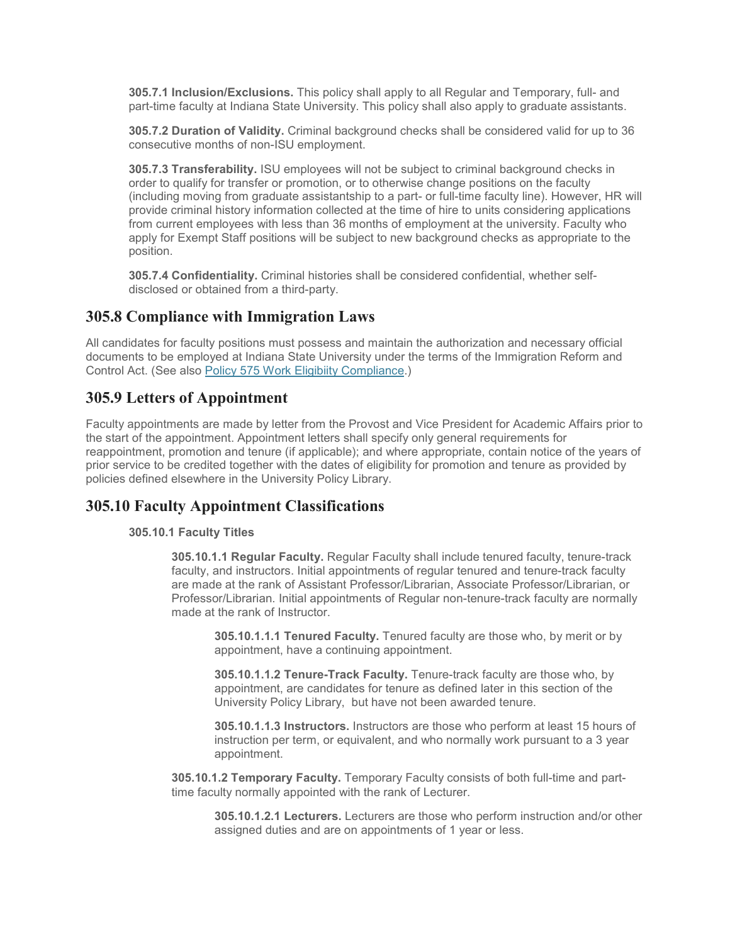**305.7.1 Inclusion/Exclusions.** This policy shall apply to all Regular and Temporary, full- and part-time faculty at Indiana State University. This policy shall also apply to graduate assistants.

**305.7.2 Duration of Validity.** Criminal background checks shall be considered valid for up to 36 consecutive months of non-ISU employment.

**305.7.3 Transferability.** ISU employees will not be subject to criminal background checks in order to qualify for transfer or promotion, or to otherwise change positions on the faculty (including moving from graduate assistantship to a part- or full-time faculty line). However, HR will provide criminal history information collected at the time of hire to units considering applications from current employees with less than 36 months of employment at the university. Faculty who apply for Exempt Staff positions will be subject to new background checks as appropriate to the position.

**305.7.4 Confidentiality.** Criminal histories shall be considered confidential, whether selfdisclosed or obtained from a third-party.

## **305.8 Compliance with Immigration Laws**

All candidates for faculty positions must possess and maintain the authorization and necessary official documents to be employed at Indiana State University under the terms of the Immigration Reform and Control Act. (See also [Policy 575 Work Eligibiity Compliance.\)](http://www.indstate.edu/policy-library/immigration-compliance)

# **305.9 Letters of Appointment**

Faculty appointments are made by letter from the Provost and Vice President for Academic Affairs prior to the start of the appointment. Appointment letters shall specify only general requirements for reappointment, promotion and tenure (if applicable); and where appropriate, contain notice of the years of prior service to be credited together with the dates of eligibility for promotion and tenure as provided by policies defined elsewhere in the University Policy Library.

## **305.10 Faculty Appointment Classifications**

#### **305.10.1 Faculty Titles**

**305.10.1.1 Regular Faculty.** Regular Faculty shall include tenured faculty, tenure-track faculty, and instructors. Initial appointments of regular tenured and tenure-track faculty are made at the rank of Assistant Professor/Librarian, Associate Professor/Librarian, or Professor/Librarian. Initial appointments of Regular non-tenure-track faculty are normally made at the rank of Instructor.

**305.10.1.1.1 Tenured Faculty.** Tenured faculty are those who, by merit or by appointment, have a continuing appointment.

**305.10.1.1.2 Tenure-Track Faculty.** Tenure-track faculty are those who, by appointment, are candidates for tenure as defined later in this section of the University Policy Library, but have not been awarded tenure.

**305.10.1.1.3 Instructors.** Instructors are those who perform at least 15 hours of instruction per term, or equivalent, and who normally work pursuant to a 3 year appointment.

**305.10.1.2 Temporary Faculty.** Temporary Faculty consists of both full-time and parttime faculty normally appointed with the rank of Lecturer.

**305.10.1.2.1 Lecturers.** Lecturers are those who perform instruction and/or other assigned duties and are on appointments of 1 year or less.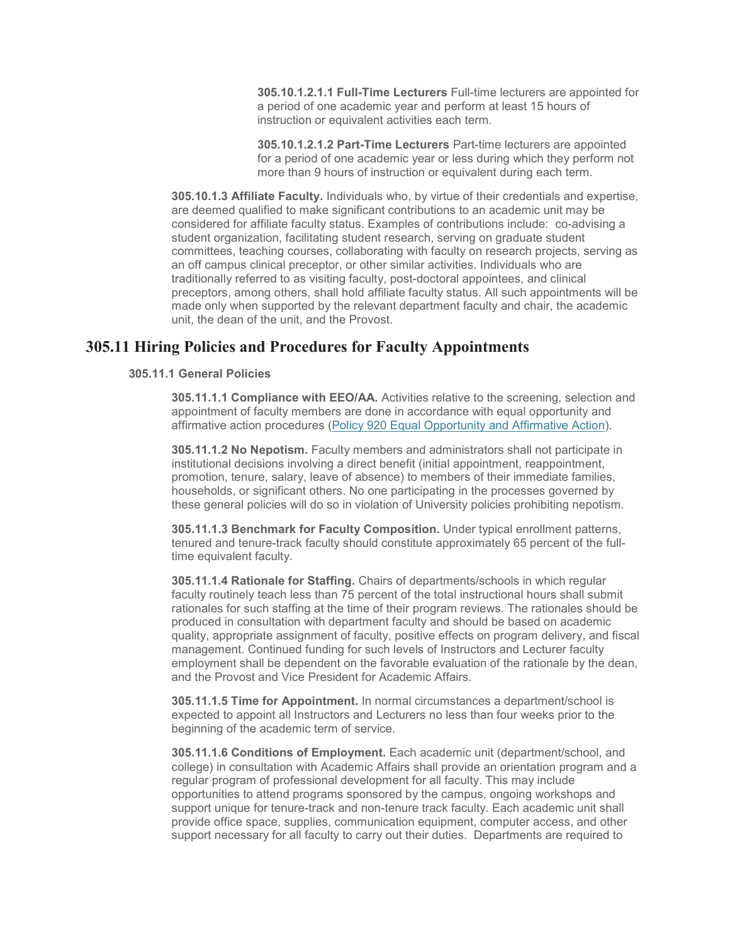**305.10.1.2.1.1 Full-Time Lecturers** Full-time lecturers are appointed for a period of one academic year and perform at least 15 hours of instruction or equivalent activities each term.

**305.10.1.2.1.2 Part-Time Lecturers** Part-time lecturers are appointed for a period of one academic year or less during which they perform not more than 9 hours of instruction or equivalent during each term.

**305.10.1.3 Affiliate Faculty.** Individuals who, by virtue of their credentials and expertise, are deemed qualified to make significant contributions to an academic unit may be considered for affiliate faculty status. Examples of contributions include: co-advising a student organization, facilitating student research, serving on graduate student committees, teaching courses, collaborating with faculty on research projects, serving as an off campus clinical preceptor, or other similar activities. Individuals who are traditionally referred to as visiting faculty, post-doctoral appointees, and clinical preceptors, among others, shall hold affiliate faculty status. All such appointments will be made only when supported by the relevant department faculty and chair, the academic unit, the dean of the unit, and the Provost.

## **305.11 Hiring Policies and Procedures for Faculty Appointments**

### **305.11.1 General Policies**

**305.11.1.1 Compliance with EEO/AA.** Activities relative to the screening, selection and appointment of faculty members are done in accordance with equal opportunity and affirmative action procedures [\(Policy 920 Equal Opportunity and Affirmative Action\)](http://www.indstate.edu/policy-library/equal-opportunity-and-affirmative-action-policy).

**305.11.1.2 No Nepotism.** Faculty members and administrators shall not participate in institutional decisions involving a direct benefit (initial appointment, reappointment, promotion, tenure, salary, leave of absence) to members of their immediate families, households, or significant others. No one participating in the processes governed by these general policies will do so in violation of University policies prohibiting nepotism.

**305.11.1.3 Benchmark for Faculty Composition.** Under typical enrollment patterns, tenured and tenure-track faculty should constitute approximately 65 percent of the fulltime equivalent faculty.

**305.11.1.4 Rationale for Staffing.** Chairs of departments/schools in which regular faculty routinely teach less than 75 percent of the total instructional hours shall submit rationales for such staffing at the time of their program reviews. The rationales should be produced in consultation with department faculty and should be based on academic quality, appropriate assignment of faculty, positive effects on program delivery, and fiscal management. Continued funding for such levels of Instructors and Lecturer faculty employment shall be dependent on the favorable evaluation of the rationale by the dean, and the Provost and Vice President for Academic Affairs.

**305.11.1.5 Time for Appointment.** In normal circumstances a department/school is expected to appoint all Instructors and Lecturers no less than four weeks prior to the beginning of the academic term of service.

**305.11.1.6 Conditions of Employment.** Each academic unit (department/school, and college) in consultation with Academic Affairs shall provide an orientation program and a regular program of professional development for all faculty. This may include opportunities to attend programs sponsored by the campus, ongoing workshops and support unique for tenure-track and non-tenure track faculty. Each academic unit shall provide office space, supplies, communication equipment, computer access, and other support necessary for all faculty to carry out their duties. Departments are required to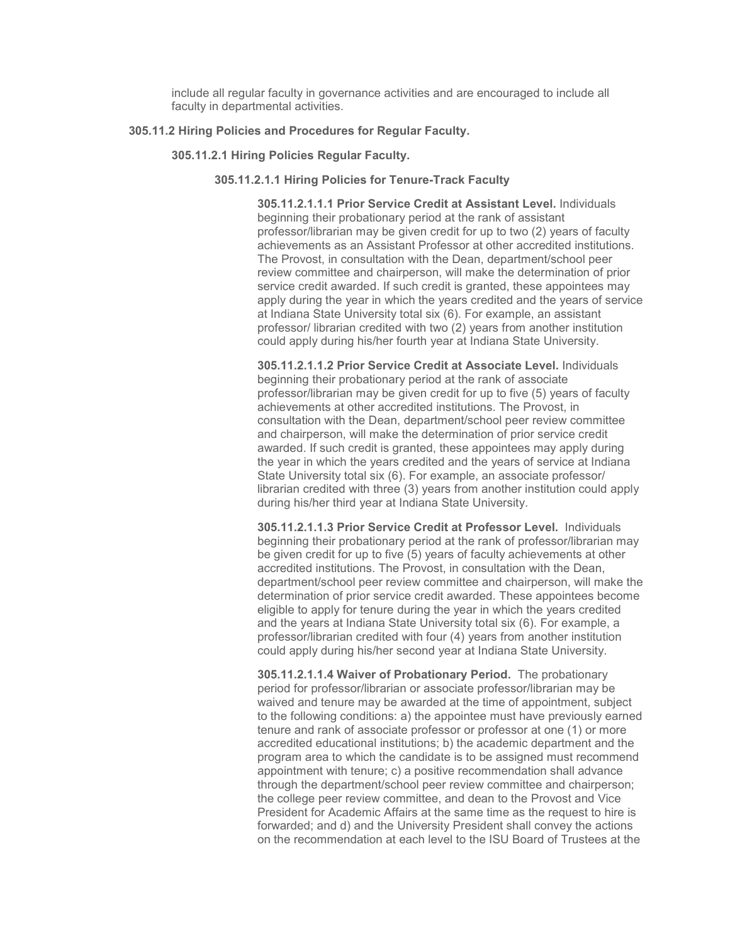include all regular faculty in governance activities and are encouraged to include all faculty in departmental activities.

### **305.11.2 Hiring Policies and Procedures for Regular Faculty.**

#### **305.11.2.1 Hiring Policies Regular Faculty.**

#### **305.11.2.1.1 Hiring Policies for Tenure-Track Faculty**

**305.11.2.1.1.1 Prior Service Credit at Assistant Level.** Individuals beginning their probationary period at the rank of assistant professor/librarian may be given credit for up to two (2) years of faculty achievements as an Assistant Professor at other accredited institutions. The Provost, in consultation with the Dean, department/school peer review committee and chairperson, will make the determination of prior service credit awarded. If such credit is granted, these appointees may apply during the year in which the years credited and the years of service at Indiana State University total six (6). For example, an assistant professor/ librarian credited with two (2) years from another institution could apply during his/her fourth year at Indiana State University.

**305.11.2.1.1.2 Prior Service Credit at Associate Level.** Individuals beginning their probationary period at the rank of associate professor/librarian may be given credit for up to five (5) years of faculty achievements at other accredited institutions. The Provost, in consultation with the Dean, department/school peer review committee and chairperson, will make the determination of prior service credit awarded. If such credit is granted, these appointees may apply during the year in which the years credited and the years of service at Indiana State University total six (6). For example, an associate professor/ librarian credited with three (3) years from another institution could apply during his/her third year at Indiana State University.

**305.11.2.1.1.3 Prior Service Credit at Professor Level.** Individuals beginning their probationary period at the rank of professor/librarian may be given credit for up to five (5) years of faculty achievements at other accredited institutions. The Provost, in consultation with the Dean, department/school peer review committee and chairperson, will make the determination of prior service credit awarded. These appointees become eligible to apply for tenure during the year in which the years credited and the years at Indiana State University total six (6). For example, a professor/librarian credited with four (4) years from another institution could apply during his/her second year at Indiana State University.

**305.11.2.1.1.4 Waiver of Probationary Period.** The probationary period for professor/librarian or associate professor/librarian may be waived and tenure may be awarded at the time of appointment, subject to the following conditions: a) the appointee must have previously earned tenure and rank of associate professor or professor at one (1) or more accredited educational institutions; b) the academic department and the program area to which the candidate is to be assigned must recommend appointment with tenure; c) a positive recommendation shall advance through the department/school peer review committee and chairperson; the college peer review committee, and dean to the Provost and Vice President for Academic Affairs at the same time as the request to hire is forwarded; and d) and the University President shall convey the actions on the recommendation at each level to the ISU Board of Trustees at the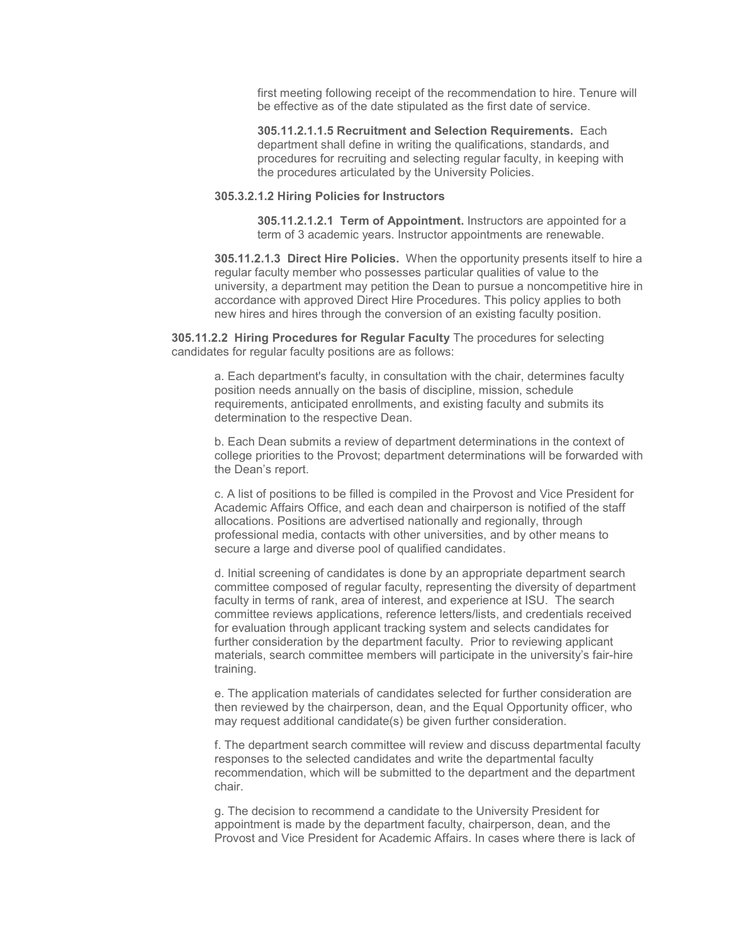first meeting following receipt of the recommendation to hire. Tenure will be effective as of the date stipulated as the first date of service.

**305.11.2.1.1.5 Recruitment and Selection Requirements.** Each department shall define in writing the qualifications, standards, and procedures for recruiting and selecting regular faculty, in keeping with the procedures articulated by the University Policies.

### **305.3.2.1.2 Hiring Policies for Instructors**

**305.11.2.1.2.1 Term of Appointment.** Instructors are appointed for a term of 3 academic years. Instructor appointments are renewable.

**305.11.2.1.3 Direct Hire Policies.** When the opportunity presents itself to hire a regular faculty member who possesses particular qualities of value to the university, a department may petition the Dean to pursue a noncompetitive hire in accordance with approved Direct Hire Procedures. This policy applies to both new hires and hires through the conversion of an existing faculty position.

**305.11.2.2 Hiring Procedures for Regular Faculty** The procedures for selecting candidates for regular faculty positions are as follows:

a. Each department's faculty, in consultation with the chair, determines faculty position needs annually on the basis of discipline, mission, schedule requirements, anticipated enrollments, and existing faculty and submits its determination to the respective Dean.

b. Each Dean submits a review of department determinations in the context of college priorities to the Provost; department determinations will be forwarded with the Dean's report.

c. A list of positions to be filled is compiled in the Provost and Vice President for Academic Affairs Office, and each dean and chairperson is notified of the staff allocations. Positions are advertised nationally and regionally, through professional media, contacts with other universities, and by other means to secure a large and diverse pool of qualified candidates.

d. Initial screening of candidates is done by an appropriate department search committee composed of regular faculty, representing the diversity of department faculty in terms of rank, area of interest, and experience at ISU. The search committee reviews applications, reference letters/lists, and credentials received for evaluation through applicant tracking system and selects candidates for further consideration by the department faculty. Prior to reviewing applicant materials, search committee members will participate in the university's fair-hire training.

e. The application materials of candidates selected for further consideration are then reviewed by the chairperson, dean, and the Equal Opportunity officer, who may request additional candidate(s) be given further consideration.

f. The department search committee will review and discuss departmental faculty responses to the selected candidates and write the departmental faculty recommendation, which will be submitted to the department and the department chair.

g. The decision to recommend a candidate to the University President for appointment is made by the department faculty, chairperson, dean, and the Provost and Vice President for Academic Affairs. In cases where there is lack of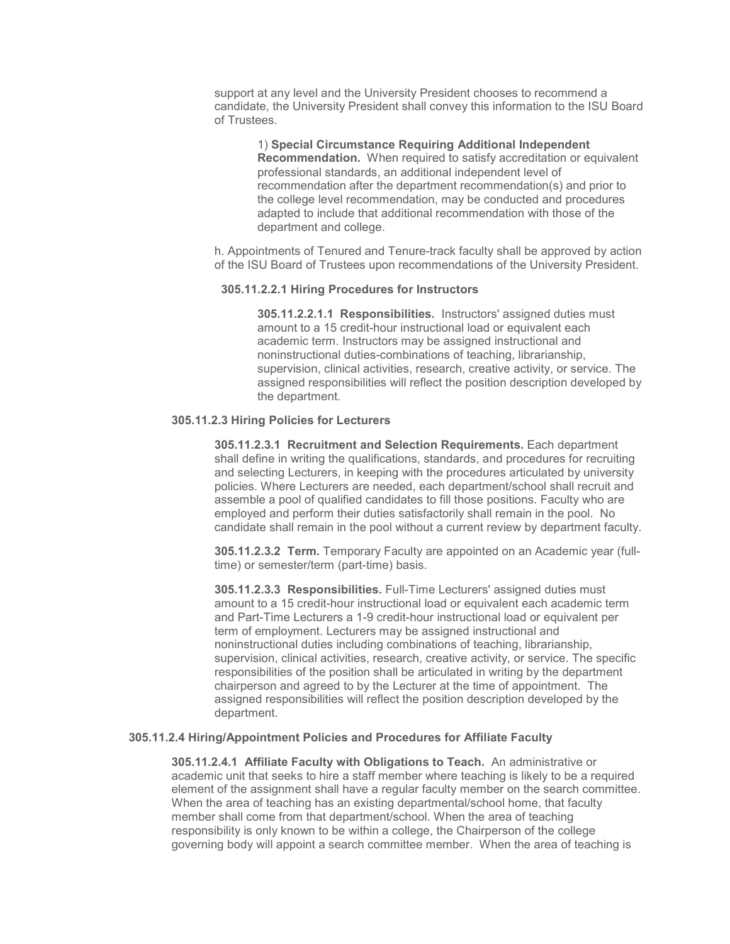support at any level and the University President chooses to recommend a candidate, the University President shall convey this information to the ISU Board of Trustees.

1) **Special Circumstance Requiring Additional Independent Recommendation.** When required to satisfy accreditation or equivalent professional standards, an additional independent level of recommendation after the department recommendation(s) and prior to the college level recommendation, may be conducted and procedures adapted to include that additional recommendation with those of the department and college.

h. Appointments of Tenured and Tenure-track faculty shall be approved by action of the ISU Board of Trustees upon recommendations of the University President.

#### **305.11.2.2.1 Hiring Procedures for Instructors**

**305.11.2.2.1.1 Responsibilities.** Instructors' assigned duties must amount to a 15 credit-hour instructional load or equivalent each academic term. Instructors may be assigned instructional and noninstructional duties-combinations of teaching, librarianship, supervision, clinical activities, research, creative activity, or service. The assigned responsibilities will reflect the position description developed by the department.

### **305.11.2.3 Hiring Policies for Lecturers**

**305.11.2.3.1 Recruitment and Selection Requirements.** Each department shall define in writing the qualifications, standards, and procedures for recruiting and selecting Lecturers, in keeping with the procedures articulated by university policies. Where Lecturers are needed, each department/school shall recruit and assemble a pool of qualified candidates to fill those positions. Faculty who are employed and perform their duties satisfactorily shall remain in the pool. No candidate shall remain in the pool without a current review by department faculty.

**305.11.2.3.2 Term.** Temporary Faculty are appointed on an Academic year (fulltime) or semester/term (part-time) basis.

**305.11.2.3.3 Responsibilities.** Full-Time Lecturers' assigned duties must amount to a 15 credit-hour instructional load or equivalent each academic term and Part-Time Lecturers a 1-9 credit-hour instructional load or equivalent per term of employment. Lecturers may be assigned instructional and noninstructional duties including combinations of teaching, librarianship, supervision, clinical activities, research, creative activity, or service. The specific responsibilities of the position shall be articulated in writing by the department chairperson and agreed to by the Lecturer at the time of appointment. The assigned responsibilities will reflect the position description developed by the department.

#### **305.11.2.4 Hiring/Appointment Policies and Procedures for Affiliate Faculty**

**305.11.2.4.1 Affiliate Faculty with Obligations to Teach.** An administrative or academic unit that seeks to hire a staff member where teaching is likely to be a required element of the assignment shall have a regular faculty member on the search committee. When the area of teaching has an existing departmental/school home, that faculty member shall come from that department/school. When the area of teaching responsibility is only known to be within a college, the Chairperson of the college governing body will appoint a search committee member. When the area of teaching is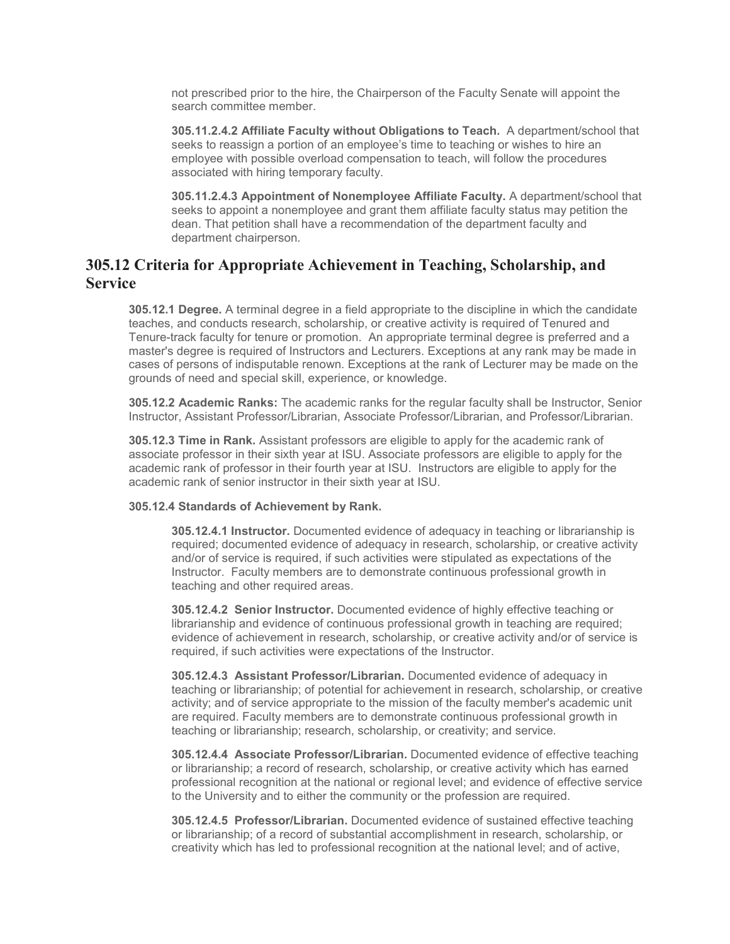not prescribed prior to the hire, the Chairperson of the Faculty Senate will appoint the search committee member.

**305.11.2.4.2 Affiliate Faculty without Obligations to Teach.** A department/school that seeks to reassign a portion of an employee's time to teaching or wishes to hire an employee with possible overload compensation to teach, will follow the procedures associated with hiring temporary faculty.

**305.11.2.4.3 Appointment of Nonemployee Affiliate Faculty.** A department/school that seeks to appoint a nonemployee and grant them affiliate faculty status may petition the dean. That petition shall have a recommendation of the department faculty and department chairperson.

# **305.12 Criteria for Appropriate Achievement in Teaching, Scholarship, and Service**

**305.12.1 Degree.** A terminal degree in a field appropriate to the discipline in which the candidate teaches, and conducts research, scholarship, or creative activity is required of Tenured and Tenure-track faculty for tenure or promotion. An appropriate terminal degree is preferred and a master's degree is required of Instructors and Lecturers. Exceptions at any rank may be made in cases of persons of indisputable renown. Exceptions at the rank of Lecturer may be made on the grounds of need and special skill, experience, or knowledge.

**305.12.2 Academic Ranks:** The academic ranks for the regular faculty shall be Instructor, Senior Instructor, Assistant Professor/Librarian, Associate Professor/Librarian, and Professor/Librarian.

**305.12.3 Time in Rank.** Assistant professors are eligible to apply for the academic rank of associate professor in their sixth year at ISU. Associate professors are eligible to apply for the academic rank of professor in their fourth year at ISU. Instructors are eligible to apply for the academic rank of senior instructor in their sixth year at ISU.

#### **305.12.4 Standards of Achievement by Rank.**

**305.12.4.1 Instructor.** Documented evidence of adequacy in teaching or librarianship is required; documented evidence of adequacy in research, scholarship, or creative activity and/or of service is required, if such activities were stipulated as expectations of the Instructor. Faculty members are to demonstrate continuous professional growth in teaching and other required areas.

**305.12.4.2 Senior Instructor.** Documented evidence of highly effective teaching or librarianship and evidence of continuous professional growth in teaching are required; evidence of achievement in research, scholarship, or creative activity and/or of service is required, if such activities were expectations of the Instructor.

**305.12.4.3 Assistant Professor/Librarian.** Documented evidence of adequacy in teaching or librarianship; of potential for achievement in research, scholarship, or creative activity; and of service appropriate to the mission of the faculty member's academic unit are required. Faculty members are to demonstrate continuous professional growth in teaching or librarianship; research, scholarship, or creativity; and service.

**305.12.4.4 Associate Professor/Librarian.** Documented evidence of effective teaching or librarianship; a record of research, scholarship, or creative activity which has earned professional recognition at the national or regional level; and evidence of effective service to the University and to either the community or the profession are required.

**305.12.4.5 Professor/Librarian.** Documented evidence of sustained effective teaching or librarianship; of a record of substantial accomplishment in research, scholarship, or creativity which has led to professional recognition at the national level; and of active,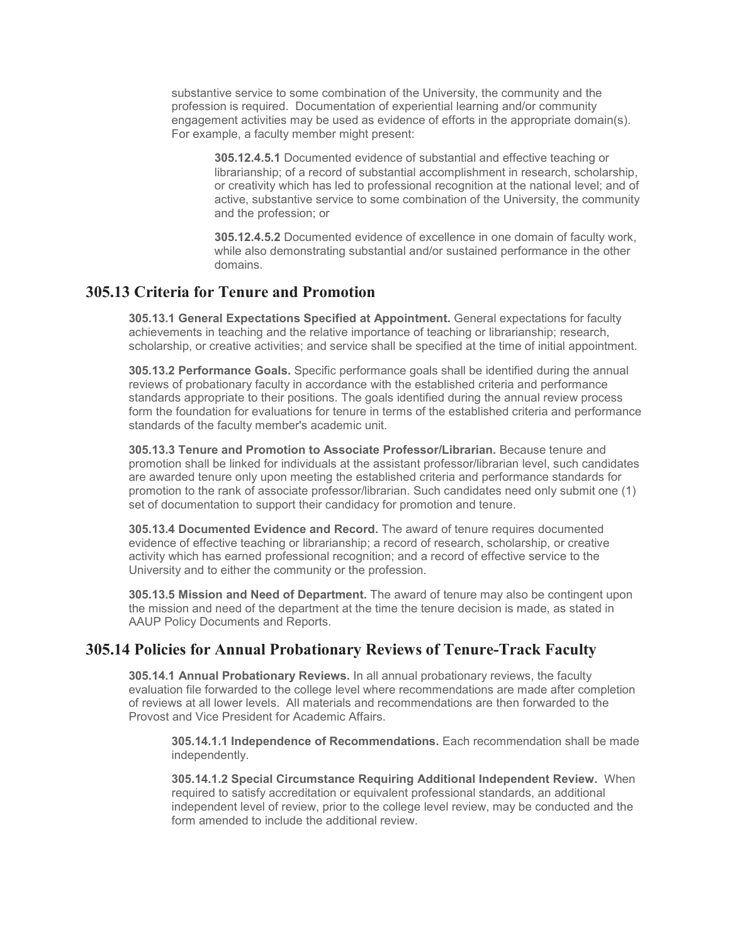substantive service to some combination of the University, the community and the profession is required. Documentation of experiential learning and/or community engagement activities may be used as evidence of efforts in the appropriate domain(s). For example, a faculty member might present:

**305.12.4.5.1** Documented evidence of substantial and effective teaching or librarianship; of a record of substantial accomplishment in research, scholarship, or creativity which has led to professional recognition at the national level; and of active, substantive service to some combination of the University, the community and the profession; or

**305.12.4.5.2** Documented evidence of excellence in one domain of faculty work, while also demonstrating substantial and/or sustained performance in the other domains.

## **305.13 Criteria for Tenure and Promotion**

**305.13.1 General Expectations Specified at Appointment.** General expectations for faculty achievements in teaching and the relative importance of teaching or librarianship; research, scholarship, or creative activities; and service shall be specified at the time of initial appointment.

**305.13.2 Performance Goals.** Specific performance goals shall be identified during the annual reviews of probationary faculty in accordance with the established criteria and performance standards appropriate to their positions. The goals identified during the annual review process form the foundation for evaluations for tenure in terms of the established criteria and performance standards of the faculty member's academic unit.

**305.13.3 Tenure and Promotion to Associate Professor/Librarian.** Because tenure and promotion shall be linked for individuals at the assistant professor/librarian level, such candidates are awarded tenure only upon meeting the established criteria and performance standards for promotion to the rank of associate professor/librarian. Such candidates need only submit one (1) set of documentation to support their candidacy for promotion and tenure.

**305.13.4 Documented Evidence and Record.** The award of tenure requires documented evidence of effective teaching or librarianship; a record of research, scholarship, or creative activity which has earned professional recognition; and a record of effective service to the University and to either the community or the profession.

**305.13.5 Mission and Need of Department.** The award of tenure may also be contingent upon the mission and need of the department at the time the tenure decision is made, as stated in AAUP Policy Documents and Reports.

## **305.14 Policies for Annual Probationary Reviews of Tenure-Track Faculty**

**305.14.1 Annual Probationary Reviews.** In all annual probationary reviews, the faculty evaluation file forwarded to the college level where recommendations are made after completion of reviews at all lower levels. All materials and recommendations are then forwarded to the Provost and Vice President for Academic Affairs.

**305.14.1.1 Independence of Recommendations.** Each recommendation shall be made independently.

**305.14.1.2 Special Circumstance Requiring Additional Independent Review.** When required to satisfy accreditation or equivalent professional standards, an additional independent level of review, prior to the college level review, may be conducted and the form amended to include the additional review.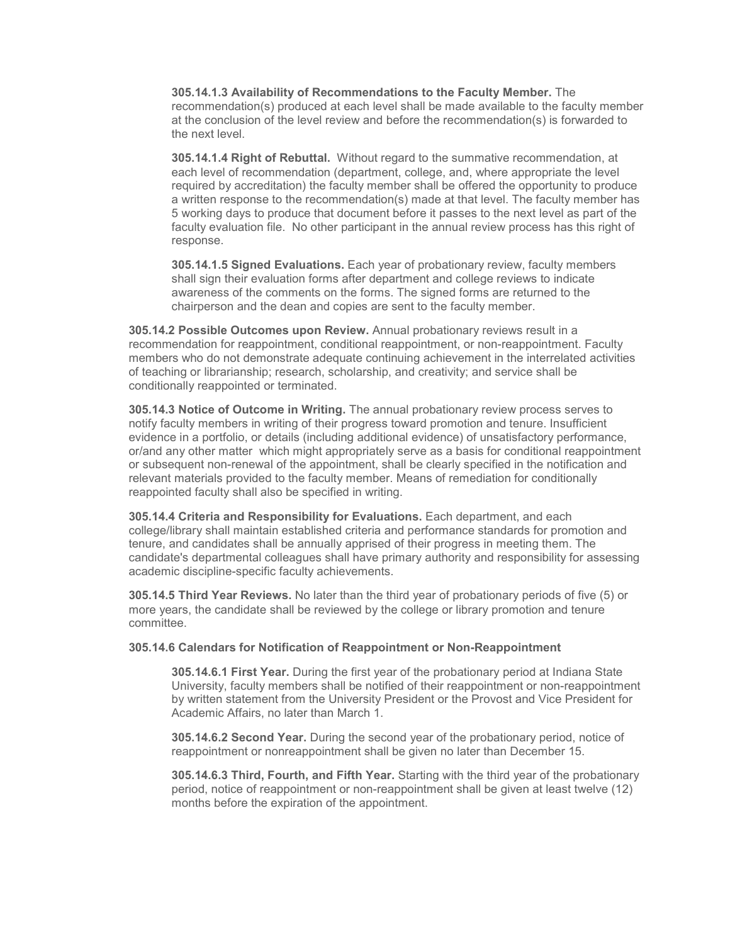**305.14.1.3 Availability of Recommendations to the Faculty Member.** The recommendation(s) produced at each level shall be made available to the faculty member at the conclusion of the level review and before the recommendation(s) is forwarded to the next level.

**305.14.1.4 Right of Rebuttal.** Without regard to the summative recommendation, at each level of recommendation (department, college, and, where appropriate the level required by accreditation) the faculty member shall be offered the opportunity to produce a written response to the recommendation(s) made at that level. The faculty member has 5 working days to produce that document before it passes to the next level as part of the faculty evaluation file. No other participant in the annual review process has this right of response.

**305.14.1.5 Signed Evaluations.** Each year of probationary review, faculty members shall sign their evaluation forms after department and college reviews to indicate awareness of the comments on the forms. The signed forms are returned to the chairperson and the dean and copies are sent to the faculty member.

**305.14.2 Possible Outcomes upon Review.** Annual probationary reviews result in a recommendation for reappointment, conditional reappointment, or non-reappointment. Faculty members who do not demonstrate adequate continuing achievement in the interrelated activities of teaching or librarianship; research, scholarship, and creativity; and service shall be conditionally reappointed or terminated.

**305.14.3 Notice of Outcome in Writing.** The annual probationary review process serves to notify faculty members in writing of their progress toward promotion and tenure. Insufficient evidence in a portfolio, or details (including additional evidence) of unsatisfactory performance, or/and any other matter which might appropriately serve as a basis for conditional reappointment or subsequent non-renewal of the appointment, shall be clearly specified in the notification and relevant materials provided to the faculty member. Means of remediation for conditionally reappointed faculty shall also be specified in writing.

**305.14.4 Criteria and Responsibility for Evaluations.** Each department, and each college/library shall maintain established criteria and performance standards for promotion and tenure, and candidates shall be annually apprised of their progress in meeting them. The candidate's departmental colleagues shall have primary authority and responsibility for assessing academic discipline-specific faculty achievements.

**305.14.5 Third Year Reviews.** No later than the third year of probationary periods of five (5) or more years, the candidate shall be reviewed by the college or library promotion and tenure committee.

#### **305.14.6 Calendars for Notification of Reappointment or Non-Reappointment**

**305.14.6.1 First Year.** During the first year of the probationary period at Indiana State University, faculty members shall be notified of their reappointment or non-reappointment by written statement from the University President or the Provost and Vice President for Academic Affairs, no later than March 1.

**305.14.6.2 Second Year.** During the second year of the probationary period, notice of reappointment or nonreappointment shall be given no later than December 15.

**305.14.6.3 Third, Fourth, and Fifth Year.** Starting with the third year of the probationary period, notice of reappointment or non-reappointment shall be given at least twelve (12) months before the expiration of the appointment.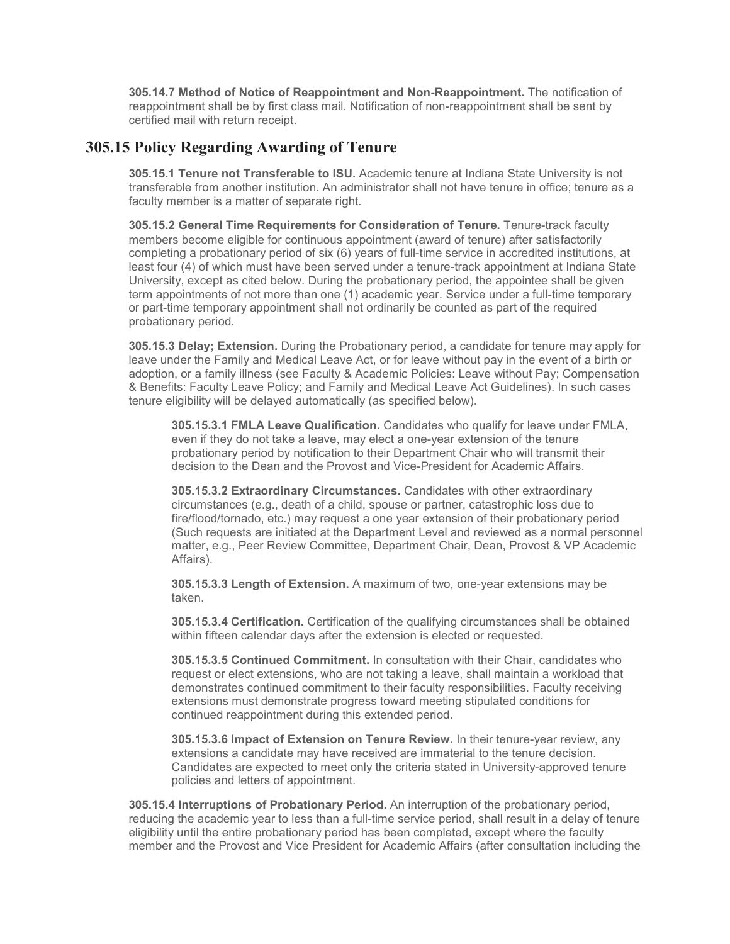**305.14.7 Method of Notice of Reappointment and Non-Reappointment.** The notification of reappointment shall be by first class mail. Notification of non-reappointment shall be sent by certified mail with return receipt.

## **305.15 Policy Regarding Awarding of Tenure**

**305.15.1 Tenure not Transferable to ISU.** Academic tenure at Indiana State University is not transferable from another institution. An administrator shall not have tenure in office; tenure as a faculty member is a matter of separate right.

**305.15.2 General Time Requirements for Consideration of Tenure.** Tenure-track faculty members become eligible for continuous appointment (award of tenure) after satisfactorily completing a probationary period of six (6) years of full-time service in accredited institutions, at least four (4) of which must have been served under a tenure-track appointment at Indiana State University, except as cited below. During the probationary period, the appointee shall be given term appointments of not more than one (1) academic year. Service under a full-time temporary or part-time temporary appointment shall not ordinarily be counted as part of the required probationary period.

**305.15.3 Delay; Extension.** During the Probationary period, a candidate for tenure may apply for leave under the Family and Medical Leave Act, or for leave without pay in the event of a birth or adoption, or a family illness (see Faculty & Academic Policies: Leave without Pay; Compensation & Benefits: Faculty Leave Policy; and Family and Medical Leave Act Guidelines). In such cases tenure eligibility will be delayed automatically (as specified below).

**305.15.3.1 FMLA Leave Qualification.** Candidates who qualify for leave under FMLA, even if they do not take a leave, may elect a one-year extension of the tenure probationary period by notification to their Department Chair who will transmit their decision to the Dean and the Provost and Vice-President for Academic Affairs.

**305.15.3.2 Extraordinary Circumstances.** Candidates with other extraordinary circumstances (e.g., death of a child, spouse or partner, catastrophic loss due to fire/flood/tornado, etc.) may request a one year extension of their probationary period (Such requests are initiated at the Department Level and reviewed as a normal personnel matter, e.g., Peer Review Committee, Department Chair, Dean, Provost & VP Academic Affairs).

**305.15.3.3 Length of Extension.** A maximum of two, one-year extensions may be taken.

**305.15.3.4 Certification.** Certification of the qualifying circumstances shall be obtained within fifteen calendar days after the extension is elected or requested.

**305.15.3.5 Continued Commitment.** In consultation with their Chair, candidates who request or elect extensions, who are not taking a leave, shall maintain a workload that demonstrates continued commitment to their faculty responsibilities. Faculty receiving extensions must demonstrate progress toward meeting stipulated conditions for continued reappointment during this extended period.

**305.15.3.6 Impact of Extension on Tenure Review.** In their tenure-year review, any extensions a candidate may have received are immaterial to the tenure decision. Candidates are expected to meet only the criteria stated in University-approved tenure policies and letters of appointment.

**305.15.4 Interruptions of Probationary Period.** An interruption of the probationary period, reducing the academic year to less than a full-time service period, shall result in a delay of tenure eligibility until the entire probationary period has been completed, except where the faculty member and the Provost and Vice President for Academic Affairs (after consultation including the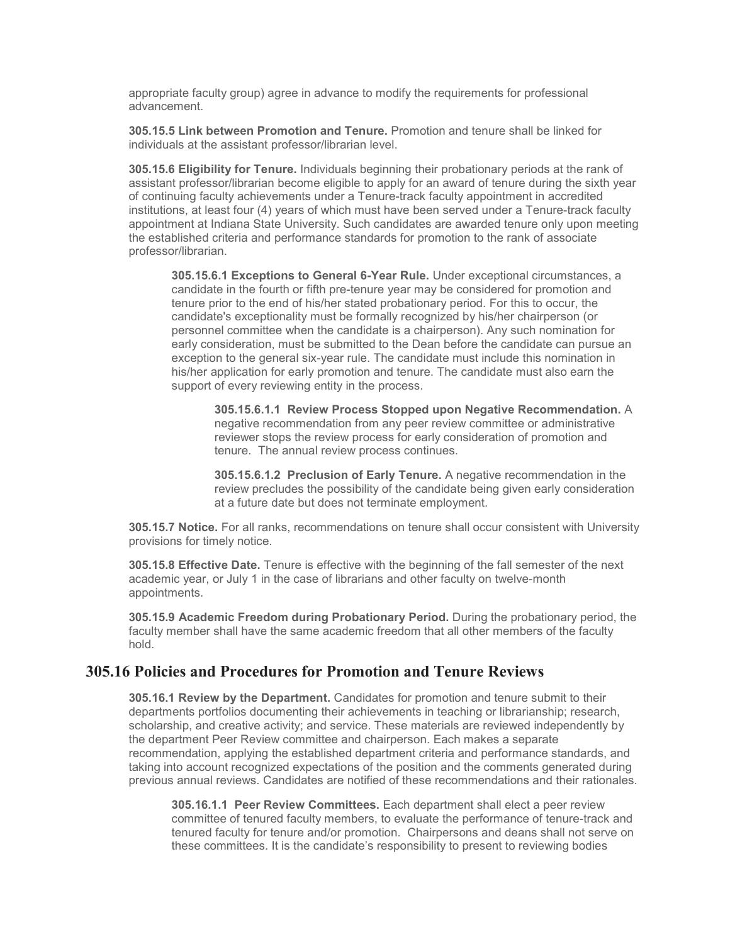appropriate faculty group) agree in advance to modify the requirements for professional advancement.

**305.15.5 Link between Promotion and Tenure.** Promotion and tenure shall be linked for individuals at the assistant professor/librarian level.

**305.15.6 Eligibility for Tenure.** Individuals beginning their probationary periods at the rank of assistant professor/librarian become eligible to apply for an award of tenure during the sixth year of continuing faculty achievements under a Tenure-track faculty appointment in accredited institutions, at least four (4) years of which must have been served under a Tenure-track faculty appointment at Indiana State University. Such candidates are awarded tenure only upon meeting the established criteria and performance standards for promotion to the rank of associate professor/librarian.

**305.15.6.1 Exceptions to General 6-Year Rule.** Under exceptional circumstances, a candidate in the fourth or fifth pre-tenure year may be considered for promotion and tenure prior to the end of his/her stated probationary period. For this to occur, the candidate's exceptionality must be formally recognized by his/her chairperson (or personnel committee when the candidate is a chairperson). Any such nomination for early consideration, must be submitted to the Dean before the candidate can pursue an exception to the general six-year rule. The candidate must include this nomination in his/her application for early promotion and tenure. The candidate must also earn the support of every reviewing entity in the process.

**305.15.6.1.1 Review Process Stopped upon Negative Recommendation.** A negative recommendation from any peer review committee or administrative reviewer stops the review process for early consideration of promotion and tenure. The annual review process continues.

**305.15.6.1.2 Preclusion of Early Tenure.** A negative recommendation in the review precludes the possibility of the candidate being given early consideration at a future date but does not terminate employment.

**305.15.7 Notice.** For all ranks, recommendations on tenure shall occur consistent with University provisions for timely notice.

**305.15.8 Effective Date.** Tenure is effective with the beginning of the fall semester of the next academic year, or July 1 in the case of librarians and other faculty on twelve-month appointments.

**305.15.9 Academic Freedom during Probationary Period.** During the probationary period, the faculty member shall have the same academic freedom that all other members of the faculty hold.

# **305.16 Policies and Procedures for Promotion and Tenure Reviews**

**305.16.1 Review by the Department.** Candidates for promotion and tenure submit to their departments portfolios documenting their achievements in teaching or librarianship; research, scholarship, and creative activity; and service. These materials are reviewed independently by the department Peer Review committee and chairperson. Each makes a separate recommendation, applying the established department criteria and performance standards, and taking into account recognized expectations of the position and the comments generated during previous annual reviews. Candidates are notified of these recommendations and their rationales.

**305.16.1.1 Peer Review Committees.** Each department shall elect a peer review committee of tenured faculty members, to evaluate the performance of tenure-track and tenured faculty for tenure and/or promotion. Chairpersons and deans shall not serve on these committees. It is the candidate's responsibility to present to reviewing bodies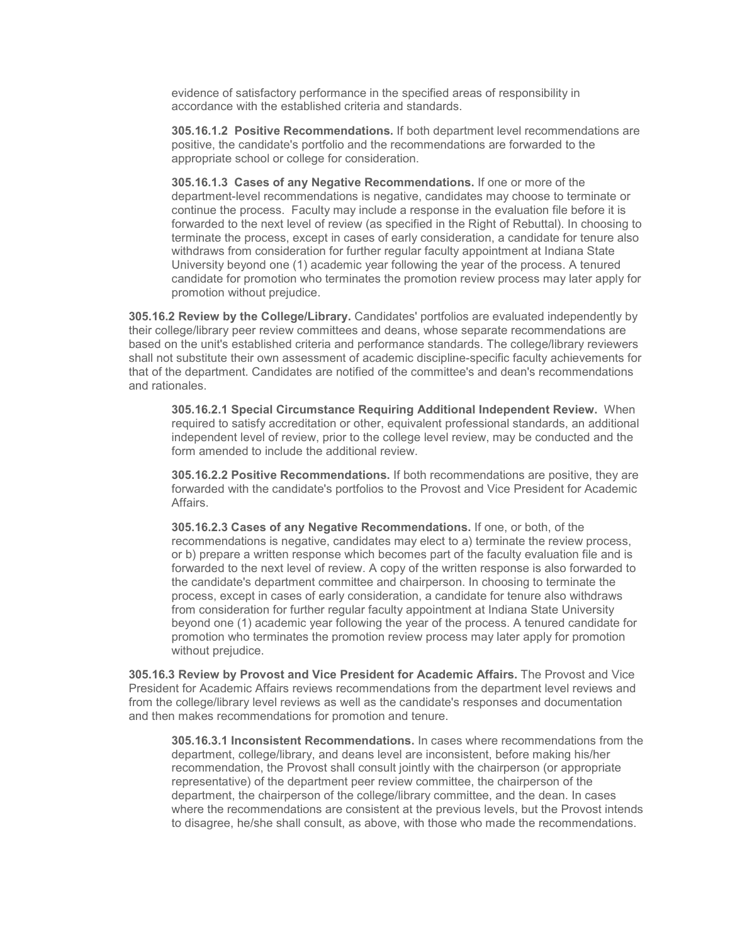evidence of satisfactory performance in the specified areas of responsibility in accordance with the established criteria and standards.

**305.16.1.2 Positive Recommendations.** If both department level recommendations are positive, the candidate's portfolio and the recommendations are forwarded to the appropriate school or college for consideration.

**305.16.1.3 Cases of any Negative Recommendations.** If one or more of the department-level recommendations is negative, candidates may choose to terminate or continue the process. Faculty may include a response in the evaluation file before it is forwarded to the next level of review (as specified in the Right of Rebuttal). In choosing to terminate the process, except in cases of early consideration, a candidate for tenure also withdraws from consideration for further regular faculty appointment at Indiana State University beyond one (1) academic year following the year of the process. A tenured candidate for promotion who terminates the promotion review process may later apply for promotion without prejudice.

**305.16.2 Review by the College/Library.** Candidates' portfolios are evaluated independently by their college/library peer review committees and deans, whose separate recommendations are based on the unit's established criteria and performance standards. The college/library reviewers shall not substitute their own assessment of academic discipline-specific faculty achievements for that of the department. Candidates are notified of the committee's and dean's recommendations and rationales.

**305.16.2.1 Special Circumstance Requiring Additional Independent Review.** When required to satisfy accreditation or other, equivalent professional standards, an additional independent level of review, prior to the college level review, may be conducted and the form amended to include the additional review.

**305.16.2.2 Positive Recommendations.** If both recommendations are positive, they are forwarded with the candidate's portfolios to the Provost and Vice President for Academic Affairs.

**305.16.2.3 Cases of any Negative Recommendations.** If one, or both, of the recommendations is negative, candidates may elect to a) terminate the review process, or b) prepare a written response which becomes part of the faculty evaluation file and is forwarded to the next level of review. A copy of the written response is also forwarded to the candidate's department committee and chairperson. In choosing to terminate the process, except in cases of early consideration, a candidate for tenure also withdraws from consideration for further regular faculty appointment at Indiana State University beyond one (1) academic year following the year of the process. A tenured candidate for promotion who terminates the promotion review process may later apply for promotion without prejudice.

**305.16.3 Review by Provost and Vice President for Academic Affairs.** The Provost and Vice President for Academic Affairs reviews recommendations from the department level reviews and from the college/library level reviews as well as the candidate's responses and documentation and then makes recommendations for promotion and tenure.

**305.16.3.1 Inconsistent Recommendations.** In cases where recommendations from the department, college/library, and deans level are inconsistent, before making his/her recommendation, the Provost shall consult jointly with the chairperson (or appropriate representative) of the department peer review committee, the chairperson of the department, the chairperson of the college/library committee, and the dean. In cases where the recommendations are consistent at the previous levels, but the Provost intends to disagree, he/she shall consult, as above, with those who made the recommendations.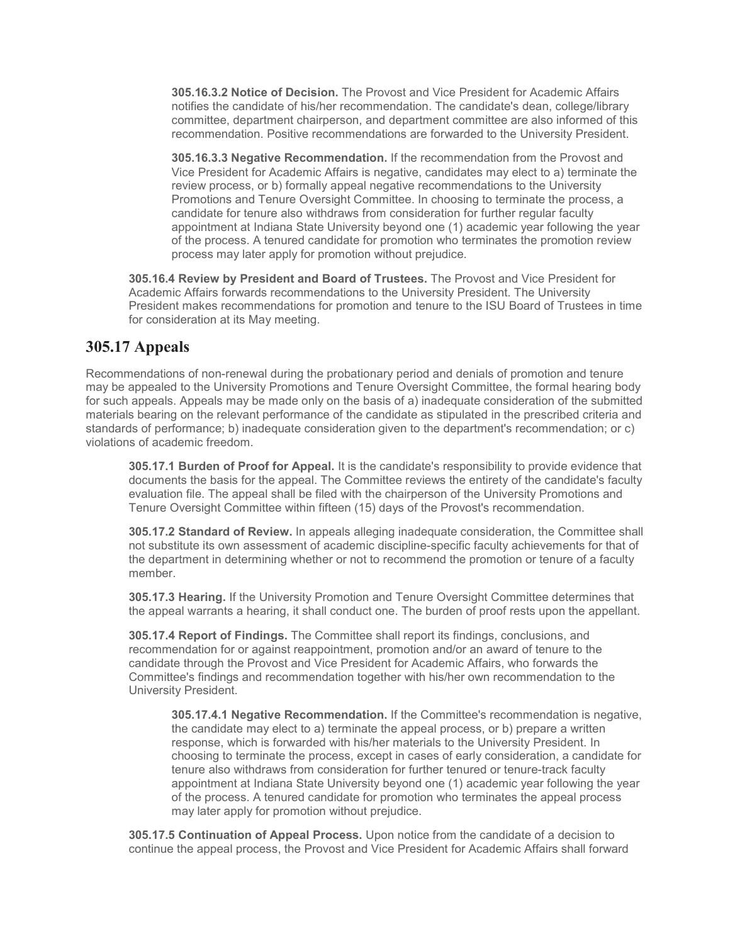**305.16.3.2 Notice of Decision.** The Provost and Vice President for Academic Affairs notifies the candidate of his/her recommendation. The candidate's dean, college/library committee, department chairperson, and department committee are also informed of this recommendation. Positive recommendations are forwarded to the University President.

**305.16.3.3 Negative Recommendation.** If the recommendation from the Provost and Vice President for Academic Affairs is negative, candidates may elect to a) terminate the review process, or b) formally appeal negative recommendations to the University Promotions and Tenure Oversight Committee. In choosing to terminate the process, a candidate for tenure also withdraws from consideration for further regular faculty appointment at Indiana State University beyond one (1) academic year following the year of the process. A tenured candidate for promotion who terminates the promotion review process may later apply for promotion without prejudice.

**305.16.4 Review by President and Board of Trustees.** The Provost and Vice President for Academic Affairs forwards recommendations to the University President. The University President makes recommendations for promotion and tenure to the ISU Board of Trustees in time for consideration at its May meeting.

# **305.17 Appeals**

Recommendations of non-renewal during the probationary period and denials of promotion and tenure may be appealed to the University Promotions and Tenure Oversight Committee, the formal hearing body for such appeals. Appeals may be made only on the basis of a) inadequate consideration of the submitted materials bearing on the relevant performance of the candidate as stipulated in the prescribed criteria and standards of performance; b) inadequate consideration given to the department's recommendation; or c) violations of academic freedom.

**305.17.1 Burden of Proof for Appeal.** It is the candidate's responsibility to provide evidence that documents the basis for the appeal. The Committee reviews the entirety of the candidate's faculty evaluation file. The appeal shall be filed with the chairperson of the University Promotions and Tenure Oversight Committee within fifteen (15) days of the Provost's recommendation.

**305.17.2 Standard of Review.** In appeals alleging inadequate consideration, the Committee shall not substitute its own assessment of academic discipline-specific faculty achievements for that of the department in determining whether or not to recommend the promotion or tenure of a faculty member.

**305.17.3 Hearing.** If the University Promotion and Tenure Oversight Committee determines that the appeal warrants a hearing, it shall conduct one. The burden of proof rests upon the appellant.

**305.17.4 Report of Findings.** The Committee shall report its findings, conclusions, and recommendation for or against reappointment, promotion and/or an award of tenure to the candidate through the Provost and Vice President for Academic Affairs, who forwards the Committee's findings and recommendation together with his/her own recommendation to the University President.

**305.17.4.1 Negative Recommendation.** If the Committee's recommendation is negative, the candidate may elect to a) terminate the appeal process, or b) prepare a written response, which is forwarded with his/her materials to the University President. In choosing to terminate the process, except in cases of early consideration, a candidate for tenure also withdraws from consideration for further tenured or tenure-track faculty appointment at Indiana State University beyond one (1) academic year following the year of the process. A tenured candidate for promotion who terminates the appeal process may later apply for promotion without prejudice.

**305.17.5 Continuation of Appeal Process.** Upon notice from the candidate of a decision to continue the appeal process, the Provost and Vice President for Academic Affairs shall forward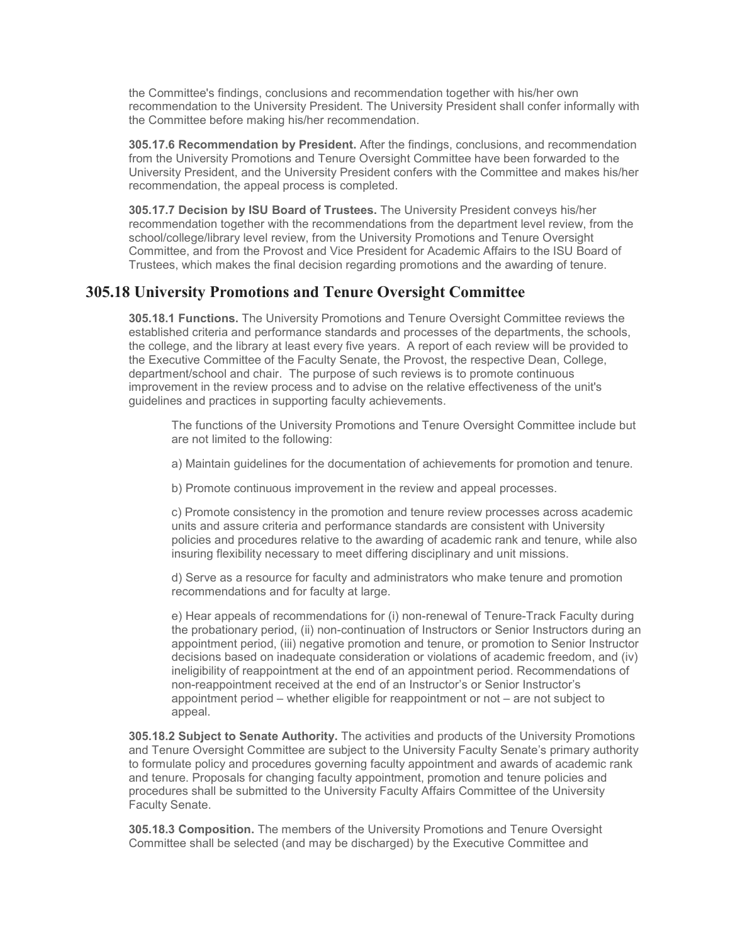the Committee's findings, conclusions and recommendation together with his/her own recommendation to the University President. The University President shall confer informally with the Committee before making his/her recommendation.

**305.17.6 Recommendation by President.** After the findings, conclusions, and recommendation from the University Promotions and Tenure Oversight Committee have been forwarded to the University President, and the University President confers with the Committee and makes his/her recommendation, the appeal process is completed.

**305.17.7 Decision by ISU Board of Trustees.** The University President conveys his/her recommendation together with the recommendations from the department level review, from the school/college/library level review, from the University Promotions and Tenure Oversight Committee, and from the Provost and Vice President for Academic Affairs to the ISU Board of Trustees, which makes the final decision regarding promotions and the awarding of tenure.

## **305.18 University Promotions and Tenure Oversight Committee**

**305.18.1 Functions.** The University Promotions and Tenure Oversight Committee reviews the established criteria and performance standards and processes of the departments, the schools, the college, and the library at least every five years. A report of each review will be provided to the Executive Committee of the Faculty Senate, the Provost, the respective Dean, College, department/school and chair. The purpose of such reviews is to promote continuous improvement in the review process and to advise on the relative effectiveness of the unit's guidelines and practices in supporting faculty achievements.

The functions of the University Promotions and Tenure Oversight Committee include but are not limited to the following:

a) Maintain guidelines for the documentation of achievements for promotion and tenure.

b) Promote continuous improvement in the review and appeal processes.

c) Promote consistency in the promotion and tenure review processes across academic units and assure criteria and performance standards are consistent with University policies and procedures relative to the awarding of academic rank and tenure, while also insuring flexibility necessary to meet differing disciplinary and unit missions.

d) Serve as a resource for faculty and administrators who make tenure and promotion recommendations and for faculty at large.

e) Hear appeals of recommendations for (i) non-renewal of Tenure-Track Faculty during the probationary period, (ii) non-continuation of Instructors or Senior Instructors during an appointment period, (iii) negative promotion and tenure, or promotion to Senior Instructor decisions based on inadequate consideration or violations of academic freedom, and (iv) ineligibility of reappointment at the end of an appointment period. Recommendations of non-reappointment received at the end of an Instructor's or Senior Instructor's appointment period – whether eligible for reappointment or not – are not subject to appeal.

**305.18.2 Subject to Senate Authority.** The activities and products of the University Promotions and Tenure Oversight Committee are subject to the University Faculty Senate's primary authority to formulate policy and procedures governing faculty appointment and awards of academic rank and tenure. Proposals for changing faculty appointment, promotion and tenure policies and procedures shall be submitted to the University Faculty Affairs Committee of the University Faculty Senate.

**305.18.3 Composition.** The members of the University Promotions and Tenure Oversight Committee shall be selected (and may be discharged) by the Executive Committee and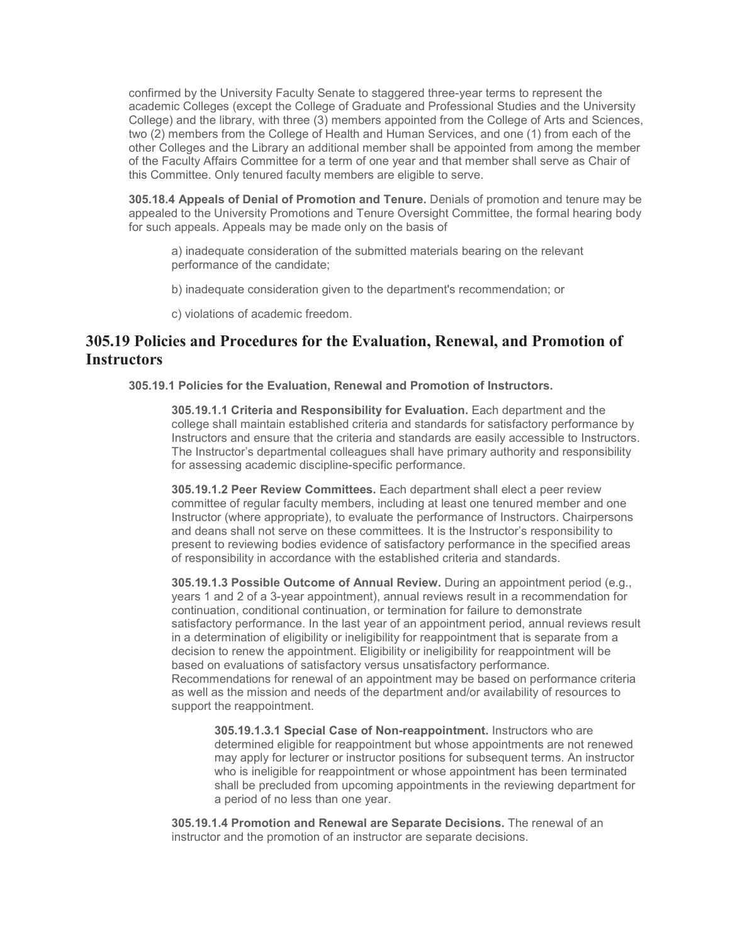confirmed by the University Faculty Senate to staggered three-year terms to represent the academic Colleges (except the College of Graduate and Professional Studies and the University College) and the library, with three (3) members appointed from the College of Arts and Sciences, two (2) members from the College of Health and Human Services, and one (1) from each of the other Colleges and the Library an additional member shall be appointed from among the member of the Faculty Affairs Committee for a term of one year and that member shall serve as Chair of this Committee. Only tenured faculty members are eligible to serve.

**305.18.4 Appeals of Denial of Promotion and Tenure.** Denials of promotion and tenure may be appealed to the University Promotions and Tenure Oversight Committee, the formal hearing body for such appeals. Appeals may be made only on the basis of

a) inadequate consideration of the submitted materials bearing on the relevant performance of the candidate;

b) inadequate consideration given to the department's recommendation; or

c) violations of academic freedom.

## **305.19 Policies and Procedures for the Evaluation, Renewal, and Promotion of Instructors**

**305.19.1 Policies for the Evaluation, Renewal and Promotion of Instructors.**

**305.19.1.1 Criteria and Responsibility for Evaluation.** Each department and the college shall maintain established criteria and standards for satisfactory performance by Instructors and ensure that the criteria and standards are easily accessible to Instructors. The Instructor's departmental colleagues shall have primary authority and responsibility for assessing academic discipline-specific performance.

**305.19.1.2 Peer Review Committees.** Each department shall elect a peer review committee of regular faculty members, including at least one tenured member and one Instructor (where appropriate), to evaluate the performance of Instructors. Chairpersons and deans shall not serve on these committees. It is the Instructor's responsibility to present to reviewing bodies evidence of satisfactory performance in the specified areas of responsibility in accordance with the established criteria and standards.

**305.19.1.3 Possible Outcome of Annual Review.** During an appointment period (e.g., years 1 and 2 of a 3-year appointment), annual reviews result in a recommendation for continuation, conditional continuation, or termination for failure to demonstrate satisfactory performance. In the last year of an appointment period, annual reviews result in a determination of eligibility or ineligibility for reappointment that is separate from a decision to renew the appointment. Eligibility or ineligibility for reappointment will be based on evaluations of satisfactory versus unsatisfactory performance. Recommendations for renewal of an appointment may be based on performance criteria as well as the mission and needs of the department and/or availability of resources to support the reappointment.

**305.19.1.3.1 Special Case of Non-reappointment.** Instructors who are determined eligible for reappointment but whose appointments are not renewed may apply for lecturer or instructor positions for subsequent terms. An instructor who is ineligible for reappointment or whose appointment has been terminated shall be precluded from upcoming appointments in the reviewing department for a period of no less than one year.

**305.19.1.4 Promotion and Renewal are Separate Decisions.** The renewal of an instructor and the promotion of an instructor are separate decisions.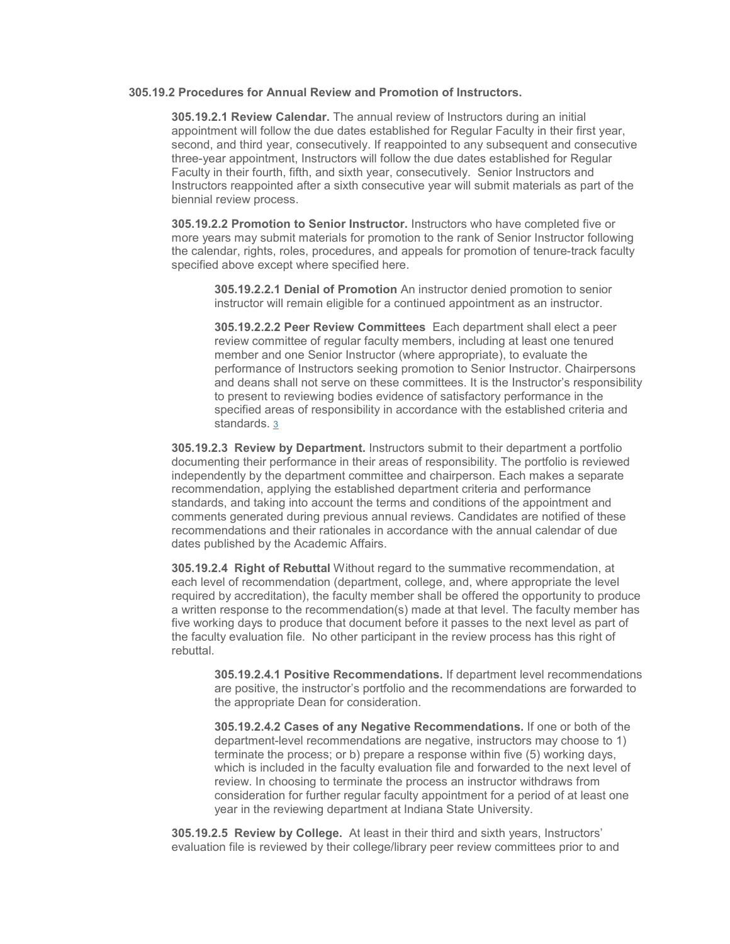### **305.19.2 Procedures for Annual Review and Promotion of Instructors.**

**305.19.2.1 Review Calendar.** The annual review of Instructors during an initial appointment will follow the due dates established for Regular Faculty in their first year, second, and third year, consecutively. If reappointed to any subsequent and consecutive three-year appointment, Instructors will follow the due dates established for Regular Faculty in their fourth, fifth, and sixth year, consecutively. Senior Instructors and Instructors reappointed after a sixth consecutive year will submit materials as part of the biennial review process.

**305.19.2.2 Promotion to Senior Instructor.** Instructors who have completed five or more years may submit materials for promotion to the rank of Senior Instructor following the calendar, rights, roles, procedures, and appeals for promotion of tenure-track faculty specified above except where specified here.

**305.19.2.2.1 Denial of Promotion** An instructor denied promotion to senior instructor will remain eligible for a continued appointment as an instructor.

**305.19.2.2.2 Peer Review Committees** Each department shall elect a peer review committee of regular faculty members, including at least one tenured member and one Senior Instructor (where appropriate), to evaluate the performance of Instructors seeking promotion to Senior Instructor. Chairpersons and deans shall not serve on these committees. It is the Instructor's responsibility to present to reviewing bodies evidence of satisfactory performance in the specified areas of responsibility in accordance with the established criteria and standards. [3](https://www.indstate.edu/node/13701/draft#305footnote3)

**305.19.2.3 Review by Department.** Instructors submit to their department a portfolio documenting their performance in their areas of responsibility. The portfolio is reviewed independently by the department committee and chairperson. Each makes a separate recommendation, applying the established department criteria and performance standards, and taking into account the terms and conditions of the appointment and comments generated during previous annual reviews. Candidates are notified of these recommendations and their rationales in accordance with the annual calendar of due dates published by the Academic Affairs.

**305.19.2.4 Right of Rebuttal** Without regard to the summative recommendation, at each level of recommendation (department, college, and, where appropriate the level required by accreditation), the faculty member shall be offered the opportunity to produce a written response to the recommendation(s) made at that level. The faculty member has five working days to produce that document before it passes to the next level as part of the faculty evaluation file. No other participant in the review process has this right of rebuttal.

**305.19.2.4.1 Positive Recommendations.** If department level recommendations are positive, the instructor's portfolio and the recommendations are forwarded to the appropriate Dean for consideration.

**305.19.2.4.2 Cases of any Negative Recommendations.** If one or both of the department-level recommendations are negative, instructors may choose to 1) terminate the process; or b) prepare a response within five (5) working days, which is included in the faculty evaluation file and forwarded to the next level of review. In choosing to terminate the process an instructor withdraws from consideration for further regular faculty appointment for a period of at least one year in the reviewing department at Indiana State University.

**305.19.2.5 Review by College.** At least in their third and sixth years, Instructors' evaluation file is reviewed by their college/library peer review committees prior to and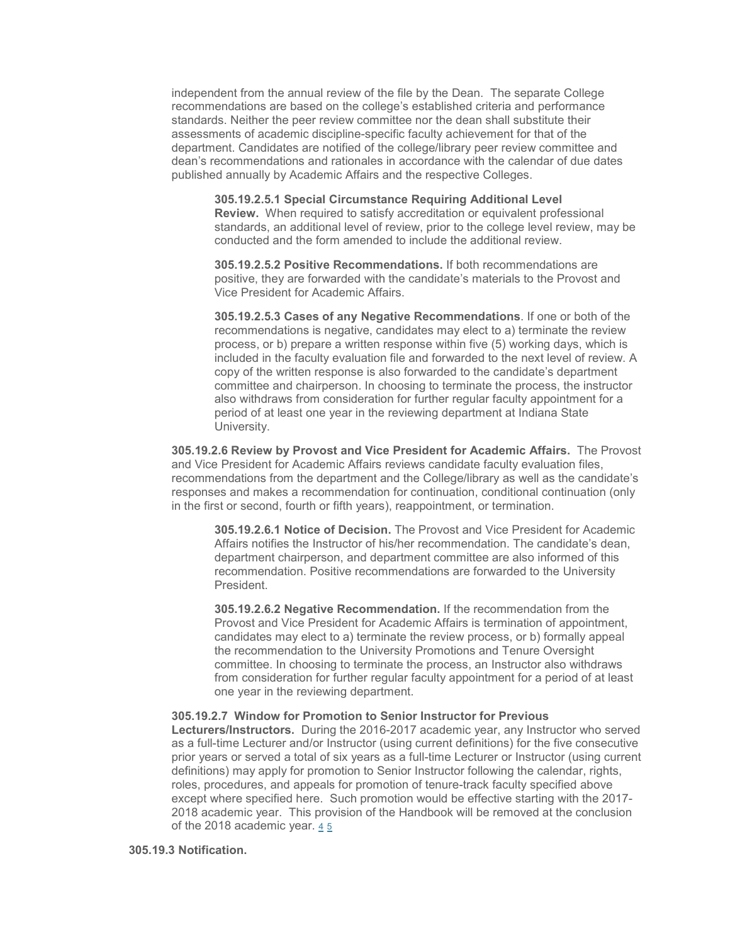independent from the annual review of the file by the Dean. The separate College recommendations are based on the college's established criteria and performance standards. Neither the peer review committee nor the dean shall substitute their assessments of academic discipline-specific faculty achievement for that of the department. Candidates are notified of the college/library peer review committee and dean's recommendations and rationales in accordance with the calendar of due dates published annually by Academic Affairs and the respective Colleges.

**305.19.2.5.1 Special Circumstance Requiring Additional Level Review.** When required to satisfy accreditation or equivalent professional standards, an additional level of review, prior to the college level review, may be conducted and the form amended to include the additional review.

**305.19.2.5.2 Positive Recommendations.** If both recommendations are positive, they are forwarded with the candidate's materials to the Provost and Vice President for Academic Affairs.

**305.19.2.5.3 Cases of any Negative Recommendations**. If one or both of the recommendations is negative, candidates may elect to a) terminate the review process, or b) prepare a written response within five (5) working days, which is included in the faculty evaluation file and forwarded to the next level of review. A copy of the written response is also forwarded to the candidate's department committee and chairperson. In choosing to terminate the process, the instructor also withdraws from consideration for further regular faculty appointment for a period of at least one year in the reviewing department at Indiana State University.

**305.19.2.6 Review by Provost and Vice President for Academic Affairs.** The Provost and Vice President for Academic Affairs reviews candidate faculty evaluation files, recommendations from the department and the College/library as well as the candidate's responses and makes a recommendation for continuation, conditional continuation (only in the first or second, fourth or fifth years), reappointment, or termination.

**305.19.2.6.1 Notice of Decision.** The Provost and Vice President for Academic Affairs notifies the Instructor of his/her recommendation. The candidate's dean, department chairperson, and department committee are also informed of this recommendation. Positive recommendations are forwarded to the University President.

**305.19.2.6.2 Negative Recommendation.** If the recommendation from the Provost and Vice President for Academic Affairs is termination of appointment, candidates may elect to a) terminate the review process, or b) formally appeal the recommendation to the University Promotions and Tenure Oversight committee. In choosing to terminate the process, an Instructor also withdraws from consideration for further regular faculty appointment for a period of at least one year in the reviewing department.

#### **305.19.2.7 Window for Promotion to Senior Instructor for Previous**

**Lecturers/Instructors.** During the 2016-2017 academic year, any Instructor who served as a full-time Lecturer and/or Instructor (using current definitions) for the five consecutive prior years or served a total of six years as a full-time Lecturer or Instructor (using current definitions) may apply for promotion to Senior Instructor following the calendar, rights, roles, procedures, and appeals for promotion of tenure-track faculty specified above except where specified here. Such promotion would be effective starting with the 2017- 2018 academic year. This provision of the Handbook will be removed at the conclusion of the 2018 academic year.  $45$  $45$ 

#### **305.19.3 Notification.**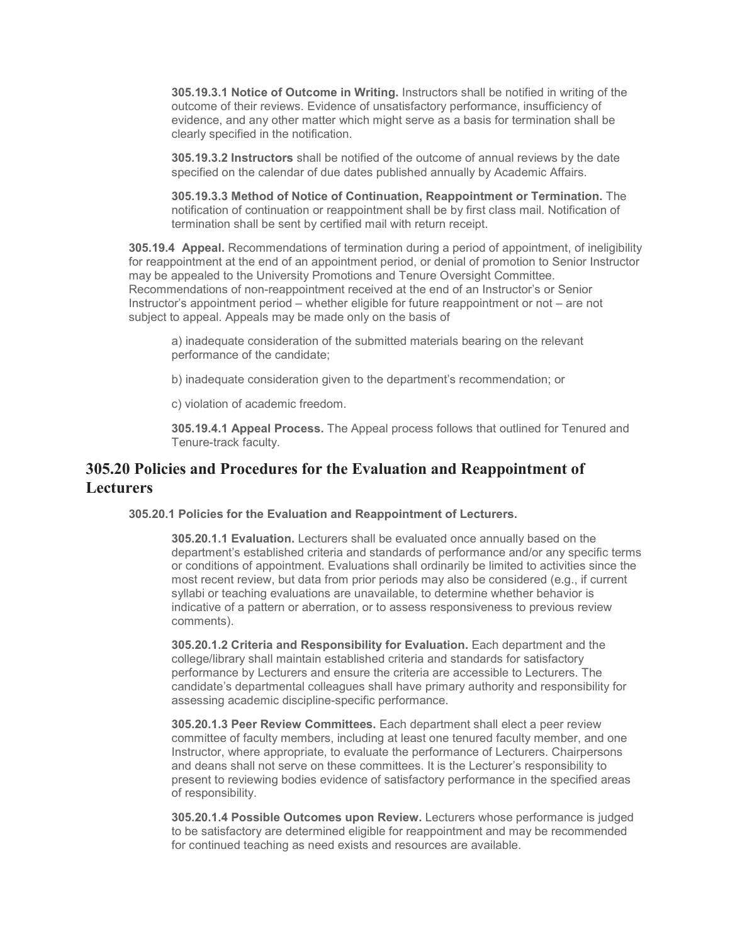**305.19.3.1 Notice of Outcome in Writing.** Instructors shall be notified in writing of the outcome of their reviews. Evidence of unsatisfactory performance, insufficiency of evidence, and any other matter which might serve as a basis for termination shall be clearly specified in the notification.

**305.19.3.2 Instructors** shall be notified of the outcome of annual reviews by the date specified on the calendar of due dates published annually by Academic Affairs.

**305.19.3.3 Method of Notice of Continuation, Reappointment or Termination.** The notification of continuation or reappointment shall be by first class mail. Notification of termination shall be sent by certified mail with return receipt.

**305.19.4 Appeal.** Recommendations of termination during a period of appointment, of ineligibility for reappointment at the end of an appointment period, or denial of promotion to Senior Instructor may be appealed to the University Promotions and Tenure Oversight Committee. Recommendations of non-reappointment received at the end of an Instructor's or Senior Instructor's appointment period – whether eligible for future reappointment or not – are not subject to appeal. Appeals may be made only on the basis of

a) inadequate consideration of the submitted materials bearing on the relevant performance of the candidate;

b) inadequate consideration given to the department's recommendation; or

c) violation of academic freedom.

**305.19.4.1 Appeal Process.** The Appeal process follows that outlined for Tenured and Tenure-track faculty.

## **305.20 Policies and Procedures for the Evaluation and Reappointment of Lecturers**

**305.20.1 Policies for the Evaluation and Reappointment of Lecturers.**

**305.20.1.1 Evaluation.** Lecturers shall be evaluated once annually based on the department's established criteria and standards of performance and/or any specific terms or conditions of appointment. Evaluations shall ordinarily be limited to activities since the most recent review, but data from prior periods may also be considered (e.g., if current syllabi or teaching evaluations are unavailable, to determine whether behavior is indicative of a pattern or aberration, or to assess responsiveness to previous review comments).

**305.20.1.2 Criteria and Responsibility for Evaluation.** Each department and the college/library shall maintain established criteria and standards for satisfactory performance by Lecturers and ensure the criteria are accessible to Lecturers. The candidate's departmental colleagues shall have primary authority and responsibility for assessing academic discipline-specific performance.

**305.20.1.3 Peer Review Committees.** Each department shall elect a peer review committee of faculty members, including at least one tenured faculty member, and one Instructor, where appropriate, to evaluate the performance of Lecturers. Chairpersons and deans shall not serve on these committees. It is the Lecturer's responsibility to present to reviewing bodies evidence of satisfactory performance in the specified areas of responsibility.

**305.20.1.4 Possible Outcomes upon Review.** Lecturers whose performance is judged to be satisfactory are determined eligible for reappointment and may be recommended for continued teaching as need exists and resources are available.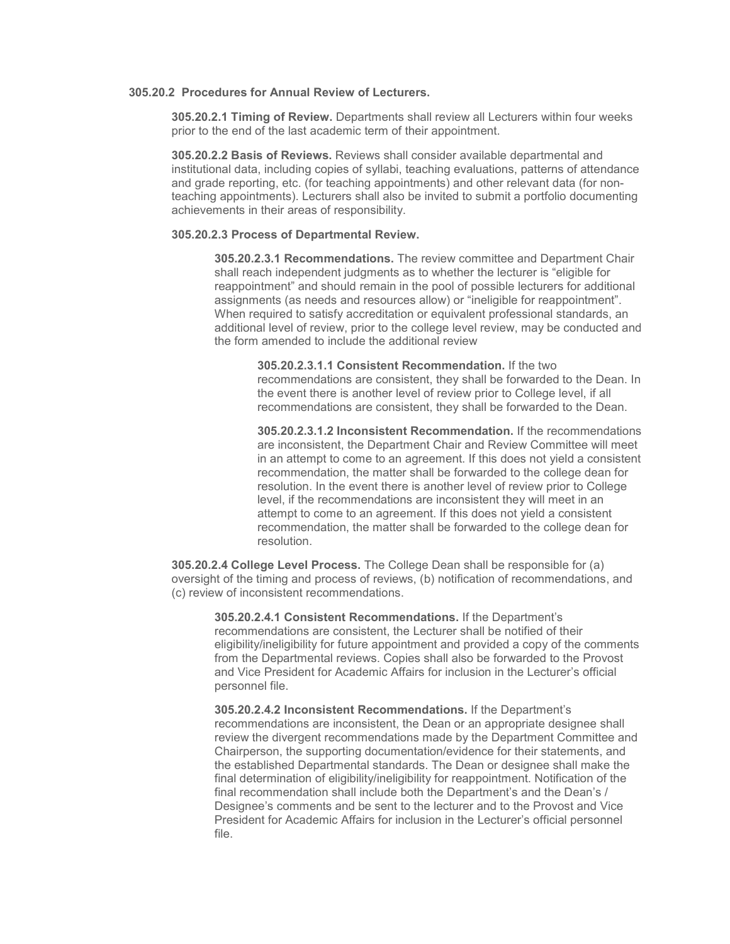### **305.20.2 Procedures for Annual Review of Lecturers.**

**305.20.2.1 Timing of Review.** Departments shall review all Lecturers within four weeks prior to the end of the last academic term of their appointment.

**305.20.2.2 Basis of Reviews.** Reviews shall consider available departmental and institutional data, including copies of syllabi, teaching evaluations, patterns of attendance and grade reporting, etc. (for teaching appointments) and other relevant data (for nonteaching appointments). Lecturers shall also be invited to submit a portfolio documenting achievements in their areas of responsibility.

#### **305.20.2.3 Process of Departmental Review.**

**305.20.2.3.1 Recommendations.** The review committee and Department Chair shall reach independent judgments as to whether the lecturer is "eligible for reappointment" and should remain in the pool of possible lecturers for additional assignments (as needs and resources allow) or "ineligible for reappointment". When required to satisfy accreditation or equivalent professional standards, an additional level of review, prior to the college level review, may be conducted and the form amended to include the additional review

**305.20.2.3.1.1 Consistent Recommendation.** If the two recommendations are consistent, they shall be forwarded to the Dean. In the event there is another level of review prior to College level, if all recommendations are consistent, they shall be forwarded to the Dean.

**305.20.2.3.1.2 Inconsistent Recommendation.** If the recommendations are inconsistent, the Department Chair and Review Committee will meet in an attempt to come to an agreement. If this does not yield a consistent recommendation, the matter shall be forwarded to the college dean for resolution. In the event there is another level of review prior to College level, if the recommendations are inconsistent they will meet in an attempt to come to an agreement. If this does not yield a consistent recommendation, the matter shall be forwarded to the college dean for resolution.

**305.20.2.4 College Level Process.** The College Dean shall be responsible for (a) oversight of the timing and process of reviews, (b) notification of recommendations, and (c) review of inconsistent recommendations.

**305.20.2.4.1 Consistent Recommendations.** If the Department's recommendations are consistent, the Lecturer shall be notified of their eligibility/ineligibility for future appointment and provided a copy of the comments from the Departmental reviews. Copies shall also be forwarded to the Provost and Vice President for Academic Affairs for inclusion in the Lecturer's official personnel file.

**305.20.2.4.2 Inconsistent Recommendations.** If the Department's recommendations are inconsistent, the Dean or an appropriate designee shall review the divergent recommendations made by the Department Committee and Chairperson, the supporting documentation/evidence for their statements, and the established Departmental standards. The Dean or designee shall make the final determination of eligibility/ineligibility for reappointment. Notification of the final recommendation shall include both the Department's and the Dean's / Designee's comments and be sent to the lecturer and to the Provost and Vice President for Academic Affairs for inclusion in the Lecturer's official personnel file.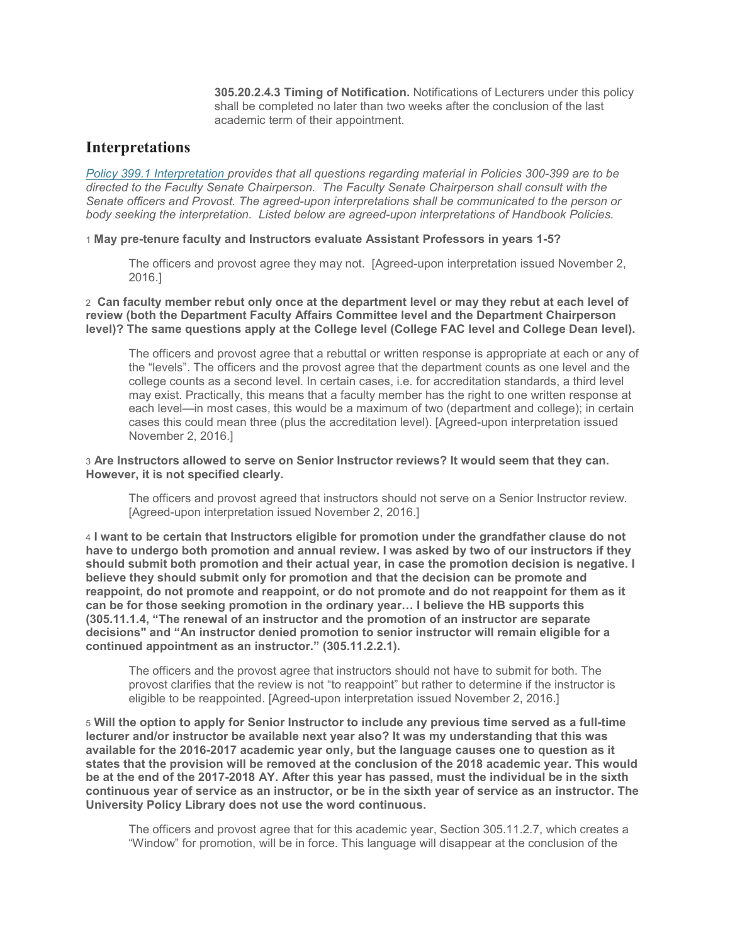**305.20.2.4.3 Timing of Notification.** Notifications of Lecturers under this policy shall be completed no later than two weeks after the conclusion of the last academic term of their appointment.

### **Interpretations**

*[Policy 399.1 Interpretation](http://www.indstate.edu/policy-library/interpretation) provides that all questions regarding material in Policies 300-399 are to be directed to the Faculty Senate Chairperson. The Faculty Senate Chairperson shall consult with the Senate officers and Provost. The agreed-upon interpretations shall be communicated to the person or body seeking the interpretation. Listed below are agreed-upon interpretations of Handbook Policies.*

1 **May pre-tenure faculty and Instructors evaluate Assistant Professors in years 1-5?**

The officers and provost agree they may not. [Agreed-upon interpretation issued November 2, 2016.]

2 **Can faculty member rebut only once at the department level or may they rebut at each level of review (both the Department Faculty Affairs Committee level and the Department Chairperson level)? The same questions apply at the College level (College FAC level and College Dean level).**

The officers and provost agree that a rebuttal or written response is appropriate at each or any of the "levels". The officers and the provost agree that the department counts as one level and the college counts as a second level. In certain cases, i.e. for accreditation standards, a third level may exist. Practically, this means that a faculty member has the right to one written response at each level—in most cases, this would be a maximum of two (department and college); in certain cases this could mean three (plus the accreditation level). [Agreed-upon interpretation issued November 2, 2016.]

3 **Are Instructors allowed to serve on Senior Instructor reviews? It would seem that they can. However, it is not specified clearly.**

The officers and provost agreed that instructors should not serve on a Senior Instructor review. [Agreed-upon interpretation issued November 2, 2016.]

4 **I want to be certain that Instructors eligible for promotion under the grandfather clause do not have to undergo both promotion and annual review. I was asked by two of our instructors if they should submit both promotion and their actual year, in case the promotion decision is negative. I believe they should submit only for promotion and that the decision can be promote and reappoint, do not promote and reappoint, or do not promote and do not reappoint for them as it can be for those seeking promotion in the ordinary year… I believe the HB supports this (305.11.1.4, "The renewal of an instructor and the promotion of an instructor are separate decisions" and "An instructor denied promotion to senior instructor will remain eligible for a continued appointment as an instructor." (305.11.2.2.1).**

The officers and the provost agree that instructors should not have to submit for both. The provost clarifies that the review is not "to reappoint" but rather to determine if the instructor is eligible to be reappointed. [Agreed-upon interpretation issued November 2, 2016.]

5 **Will the option to apply for Senior Instructor to include any previous time served as a full-time lecturer and/or instructor be available next year also? It was my understanding that this was available for the 2016-2017 academic year only, but the language causes one to question as it states that the provision will be removed at the conclusion of the 2018 academic year. This would be at the end of the 2017-2018 AY. After this year has passed, must the individual be in the sixth continuous year of service as an instructor, or be in the sixth year of service as an instructor. The University Policy Library does not use the word continuous.**

The officers and provost agree that for this academic year, Section 305.11.2.7, which creates a "Window" for promotion, will be in force. This language will disappear at the conclusion of the